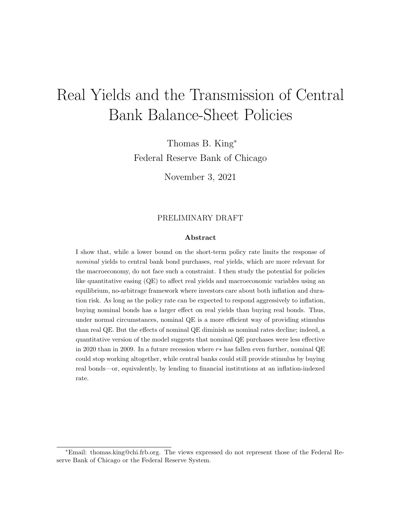# Real Yields and the Transmission of Central Bank Balance-Sheet Policies

Thomas B. King<sup>∗</sup> Federal Reserve Bank of Chicago

November 3, 2021

#### PRELIMINARY DRAFT

#### Abstract

I show that, while a lower bound on the short-term policy rate limits the response of nominal yields to central bank bond purchases, real yields, which are more relevant for the macroeconomy, do not face such a constraint. I then study the potential for policies like quantitative easing (QE) to affect real yields and macroeconomic variables using an equilibrium, no-arbitrage framework where investors care about both inflation and duration risk. As long as the policy rate can be expected to respond aggressively to inflation, buying nominal bonds has a larger effect on real yields than buying real bonds. Thus, under normal circumstances, nominal QE is a more efficient way of providing stimulus than real QE. But the effects of nominal QE diminish as nominal rates decline; indeed, a quantitative version of the model suggests that nominal QE purchases were less effective in 2020 than in 2009. In a future recession where  $r*$  has fallen even further, nominal QE could stop working altogether, while central banks could still provide stimulus by buying real bonds—or, equivalently, by lending to financial institutions at an inflation-indexed rate.

<sup>∗</sup>Email: thomas.king@chi.frb.org. The views expressed do not represent those of the Federal Reserve Bank of Chicago or the Federal Reserve System.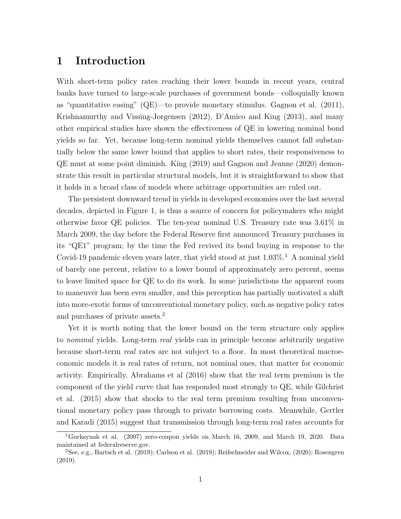## 1 Introduction

With short-term policy rates reaching their lower bounds in recent years, central banks have turned to large-scale purchases of government bonds—colloquially known as "quantitative easing" (QE)—to provide monetary stimulus. Gagnon et al. (2011), Krishnamurthy and Vissing-Jorgensen (2012), D'Amico and King (2013), and many other empirical studies have shown the effectiveness of QE in lowering nominal bond yields so far. Yet, because long-term nominal yields themselves cannot fall substantially below the same lower bound that applies to short rates, their responsiveness to QE must at some point diminish. King (2019) and Gagnon and Jeanne (2020) demonstrate this result in particular structural models, but it is straightforward to show that it holds in a broad class of models where arbitrage opportunities are ruled out.

The persistent downward trend in yields in developed economies over the last several decades, depicted in Figure 1, is thus a source of concern for policymakers who might otherwise favor QE policies. The ten-year nominal U.S. Treasury rate was 3.61% in March 2009, the day before the Federal Reserve first announced Treasury purchases in its "QE1" program; by the time the Fed revived its bond buying in response to the Covid-19 pandemic eleven years later, that yield stood at just  $1.03\%$ <sup>1</sup>. A nominal yield of barely one percent, relative to a lower bound of approximately zero percent, seems to leave limited space for QE to do its work. In some jurisdictions the apparent room to maneuver has been even smaller, and this perception has partially motivated a shift into more-exotic forms of unconventional monetary policy, such as negative policy rates and purchases of private assets.<sup>2</sup>

Yet it is worth noting that the lower bound on the term structure only applies to nominal yields. Long-term real yields can in principle become arbitrarily negative because short-term real rates are not subject to a floor. In most theoretical macroeconomic models it is real rates of return, not nominal ones, that matter for economic activity. Empirically, Abrahams et al (2016) show that the real term premium is the component of the yield curve that has responded most strongly to QE, while Gilchrist et al. (2015) show that shocks to the real term premium resulting from unconventional monetary policy pass through to private borrowing costs. Meanwhile, Gertler and Karadi (2015) suggest that transmission through long-term real rates accounts for

<sup>1</sup>Gurkaynak et al. (2007) zero-coupon yields on March 16, 2009, and March 19, 2020. Data maintained at federalreserve.gov.

 $2$ See, e.g., Bartsch et al. (2019); Carlson et al. (2019); Reifschneider and Wilcox, (2020); Rosengren (2019).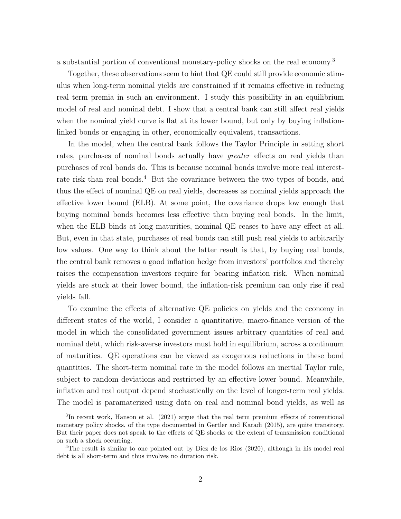a substantial portion of conventional monetary-policy shocks on the real economy.<sup>3</sup>

Together, these observations seem to hint that QE could still provide economic stimulus when long-term nominal yields are constrained if it remains effective in reducing real term premia in such an environment. I study this possibility in an equilibrium model of real and nominal debt. I show that a central bank can still affect real yields when the nominal yield curve is flat at its lower bound, but only by buying inflationlinked bonds or engaging in other, economically equivalent, transactions.

In the model, when the central bank follows the Taylor Principle in setting short rates, purchases of nominal bonds actually have *greater* effects on real yields than purchases of real bonds do. This is because nominal bonds involve more real interestrate risk than real bonds.<sup>4</sup> But the covariance between the two types of bonds, and thus the effect of nominal QE on real yields, decreases as nominal yields approach the effective lower bound (ELB). At some point, the covariance drops low enough that buying nominal bonds becomes less effective than buying real bonds. In the limit, when the ELB binds at long maturities, nominal QE ceases to have any effect at all. But, even in that state, purchases of real bonds can still push real yields to arbitrarily low values. One way to think about the latter result is that, by buying real bonds, the central bank removes a good inflation hedge from investors' portfolios and thereby raises the compensation investors require for bearing inflation risk. When nominal yields are stuck at their lower bound, the inflation-risk premium can only rise if real yields fall.

To examine the effects of alternative QE policies on yields and the economy in different states of the world, I consider a quantitative, macro-finance version of the model in which the consolidated government issues arbitrary quantities of real and nominal debt, which risk-averse investors must hold in equilibrium, across a continuum of maturities. QE operations can be viewed as exogenous reductions in these bond quantities. The short-term nominal rate in the model follows an inertial Taylor rule, subject to random deviations and restricted by an effective lower bound. Meanwhile, inflation and real output depend stochastically on the level of longer-term real yields. The model is paramaterized using data on real and nominal bond yields, as well as

<sup>&</sup>lt;sup>3</sup>In recent work, Hanson et al. (2021) argue that the real term premium effects of conventional monetary policy shocks, of the type documented in Gertler and Karadi (2015), are quite transitory. But their paper does not speak to the effects of QE shocks or the extent of transmission conditional on such a shock occurring.

<sup>4</sup>The result is similar to one pointed out by Diez de los Rios (2020), although in his model real debt is all short-term and thus involves no duration risk.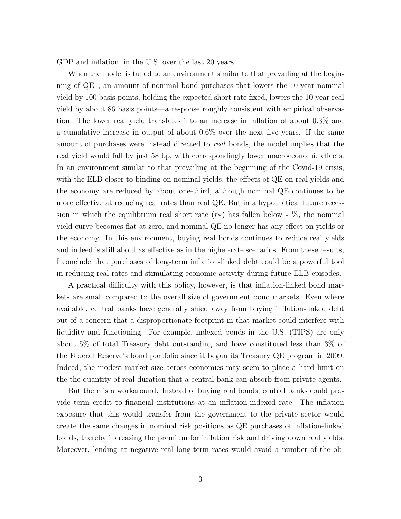GDP and inflation, in the U.S. over the last 20 years.

When the model is tuned to an environment similar to that prevailing at the beginning of QE1, an amount of nominal bond purchases that lowers the 10-year nominal yield by 100 basis points, holding the expected short rate fixed, lowers the 10-year real yield by about 86 basis points—a response roughly consistent with empirical observation. The lower real yield translates into an increase in inflation of about 0.3% and a cumulative increase in output of about 0.6% over the next five years. If the same amount of purchases were instead directed to real bonds, the model implies that the real yield would fall by just 58 bp, with correspondingly lower macroeconomic effects. In an environment similar to that prevailing at the beginning of the Covid-19 crisis, with the ELB closer to binding on nominal yields, the effects of QE on real yields and the economy are reduced by about one-third, although nominal QE continues to be more effective at reducing real rates than real QE. But in a hypothetical future recession in which the equilibrium real short rate  $(r*)$  has fallen below -1%, the nominal yield curve becomes flat at zero, and nominal QE no longer has any effect on yields or the economy. In this environment, buying real bonds continues to reduce real yields and indeed is still about as effective as in the higher-rate scenarios. From these results, I conclude that purchases of long-term inflation-linked debt could be a powerful tool in reducing real rates and stimulating economic activity during future ELB episodes.

A practical difficulty with this policy, however, is that inflation-linked bond markets are small compared to the overall size of government bond markets. Even where available, central banks have generally shied away from buying inflation-linked debt out of a concern that a disproportionate footprint in that market could interfere with liquidity and functioning. For example, indexed bonds in the U.S. (TIPS) are only about 5% of total Treasury debt outstanding and have constituted less than 3% of the Federal Reserve's bond portfolio since it began its Treasury QE program in 2009. Indeed, the modest market size across economies may seem to place a hard limit on the the quantity of real duration that a central bank can absorb from private agents.

But there is a workaround. Instead of buying real bonds, central banks could provide term credit to financial institutions at an inflation-indexed rate. The inflation exposure that this would transfer from the government to the private sector would create the same changes in nominal risk positions as QE purchases of inflation-linked bonds, thereby increasing the premium for inflation risk and driving down real yields. Moreover, lending at negative real long-term rates would avoid a number of the ob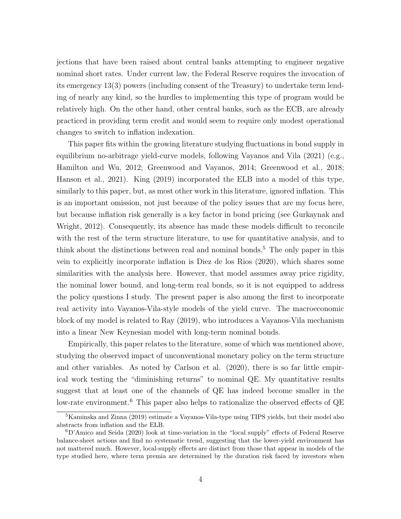jections that have been raised about central banks attempting to engineer negative nominal short rates. Under current law, the Federal Reserve requires the invocation of its emergency 13(3) powers (including consent of the Treasury) to undertake term lending of nearly any kind, so the hurdles to implementing this type of program would be relatively high. On the other hand, other central banks, such as the ECB, are already practiced in providing term credit and would seem to require only modest operational changes to switch to inflation indexation.

This paper fits within the growing literature studying fluctuations in bond supply in equilibrium no-arbitrage yield-curve models, following Vayanos and Vila (2021) (e.g., Hamilton and Wu, 2012; Greenwood and Vayanos, 2014; Greenwood et al., 2018; Hanson et al., 2021). King (2019) incorporated the ELB into a model of this type, similarly to this paper, but, as most other work in this literature, ignored inflation. This is an important omission, not just because of the policy issues that are my focus here, but because inflation risk generally is a key factor in bond pricing (see Gurkaynak and Wright, 2012). Consequently, its absence has made these models difficult to reconcile with the rest of the term structure literature, to use for quantitative analysis, and to think about the distinctions between real and nominal bonds.<sup>5</sup> The only paper in this vein to explicitly incorporate inflation is Diez de los Rios (2020), which shares some similarities with the analysis here. However, that model assumes away price rigidity, the nominal lower bound, and long-term real bonds, so it is not equipped to address the policy questions I study. The present paper is also among the first to incorporate real activity into Vayanos-Vila-style models of the yield curve. The macroeconomic block of my model is related to Ray (2019), who introduces a Vayanos-Vila mechanism into a linear New Keynesian model with long-term nominal bonds.

Empirically, this paper relates to the literature, some of which was mentioned above, studying the observed impact of unconventional monetary policy on the term structure and other variables. As noted by Carlson et al. (2020), there is so far little empirical work testing the "diminishing returns" to nominal QE. My quantitative results suggest that at least one of the channels of QE has indeed become smaller in the low-rate environment.<sup>6</sup> This paper also helps to rationalize the observed effects of QE

<sup>5</sup>Kaminska and Zinna (2019) estimate a Vayanos-Vila-type using TIPS yields, but their model also abstracts from inflation and the ELB.

<sup>6</sup>D'Amico and Seida (2020) look at time-variation in the "local supply" effects of Federal Reserve balance-sheet actions and find no systematic trend, suggesting that the lower-yield environment has not mattered much. However, local-supply effects are distinct from those that appear in models of the type studied here, where term premia are determined by the duration risk faced by investors when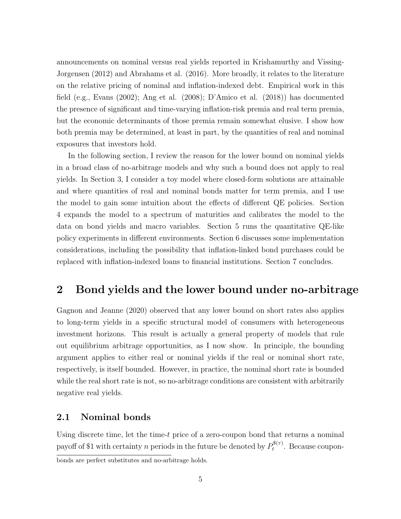announcements on nominal versus real yields reported in Krishamurthy and Vissing-Jorgensen (2012) and Abrahams et al. (2016). More broadly, it relates to the literature on the relative pricing of nominal and inflation-indexed debt. Empirical work in this field (e.g., Evans (2002); Ang et al. (2008); D'Amico et al. (2018)) has documented the presence of significant and time-varying inflation-risk premia and real term premia, but the economic determinants of those premia remain somewhat elusive. I show how both premia may be determined, at least in part, by the quantities of real and nominal exposures that investors hold.

In the following section, I review the reason for the lower bound on nominal yields in a broad class of no-arbitrage models and why such a bound does not apply to real yields. In Section 3, I consider a toy model where closed-form solutions are attainable and where quantities of real and nominal bonds matter for term premia, and I use the model to gain some intuition about the effects of different QE policies. Section 4 expands the model to a spectrum of maturities and calibrates the model to the data on bond yields and macro variables. Section 5 runs the quantitative QE-like policy experiments in different environments. Section 6 discusses some implementation considerations, including the possibility that inflation-linked bond purchases could be replaced with inflation-indexed loans to financial institutions. Section 7 concludes.

# 2 Bond yields and the lower bound under no-arbitrage

Gagnon and Jeanne (2020) observed that any lower bound on short rates also applies to long-term yields in a specific structural model of consumers with heterogeneous investment horizons. This result is actually a general property of models that rule out equilibrium arbitrage opportunities, as I now show. In principle, the bounding argument applies to either real or nominal yields if the real or nominal short rate, respectively, is itself bounded. However, in practice, the nominal short rate is bounded while the real short rate is not, so no-arbitrage conditions are consistent with arbitrarily negative real yields.

#### 2.1 Nominal bonds

Using discrete time, let the time- $t$  price of a zero-coupon bond that returns a nominal payoff of \$1 with certainty n periods in the future be denoted by  $P_t^{\$(\tau)}$  $t^{(n)}$ . Because coupon-

bonds are perfect substitutes and no-arbitrage holds.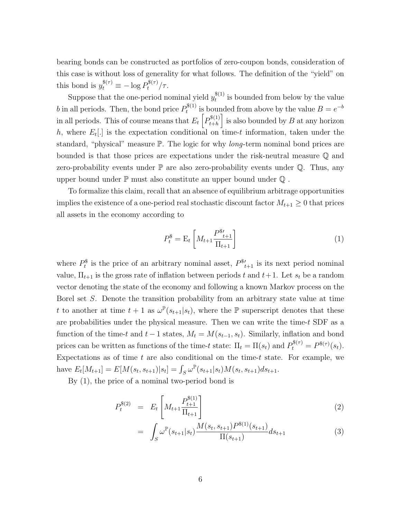bearing bonds can be constructed as portfolios of zero-coupon bonds, consideration of this case is without loss of generality for what follows. The definition of the "yield" on this bond is  $y_t^{\$(\tau)} \equiv -\log P_t^{\$(\tau)} / \tau$ .

Suppose that the one-period nominal yield  $y_t^{\$(1)}$  $t_t^{(1)}$  is bounded from below by the value b in all periods. Then, the bond price  $P_t^{\$(1)}$  $t_t^{\mathfrak{s}(1)}$  is bounded from above by the value  $B = e^{-b}$ in all periods. This of course means that  $E_t\left[P_{t+h}^{(1)}\right]$  $\binom{\$(1)}{t+h}$  is also bounded by B at any horizon h, where  $E_t[.]$  is the expectation conditional on time-t information, taken under the standard, "physical" measure P. The logic for why long-term nominal bond prices are bounded is that those prices are expectations under the risk-neutral measure Q and zero-probability events under  $\mathbb P$  are also zero-probability events under  $\mathbb Q$ . Thus, any upper bound under  $\mathbb P$  must also constitute an upper bound under  $\mathbb Q$ .

To formalize this claim, recall that an absence of equilibrium arbitrage opportunities implies the existence of a one-period real stochastic discount factor  $M_{t+1} \geq 0$  that prices all assets in the economy according to

$$
P_t^{\$} = \mathcal{E}_t \left[ M_{t+1} \frac{P_{t+1}^{\$}}{\Pi_{t+1}} \right] \tag{1}
$$

where  $P_t^{\$}$  is the price of an arbitrary nominal asset,  $P_{t+1}^{\$}$  is its next period nominal value,  $\Pi_{t+1}$  is the gross rate of inflation between periods t and  $t+1$ . Let  $s_t$  be a random vector denoting the state of the economy and following a known Markov process on the Borel set S. Denote the transition probability from an arbitrary state value at time t to another at time  $t + 1$  as  $\omega^{\mathbb{P}}(s_{t+1}|s_t)$ , where the  $\mathbb P$  superscript denotes that these are probabilities under the physical measure. Then we can write the time- $t$  SDF as a function of the time-t and  $t-1$  states,  $M_t = M(s_{t-1}, s_t)$ . Similarly, inflation and bond prices can be written as functions of the time-t state:  $\Pi_t = \Pi(s_t)$  and  $P_t^{\$(\tau)} = P^{\$(\tau)}(s_t)$ . Expectations as of time t are also conditional on the time-t state. For example, we have  $E_t[M_{t+1}] = E[M(s_t, s_{t+1})|s_t] = \int_S \omega^{\mathbb{P}}(s_{t+1}|s_t)M(s_t, s_{t+1})ds_{t+1}.$ 

By (1), the price of a nominal two-period bond is

$$
P_t^{\$(2)} = E_t \left[ M_{t+1} \frac{P_{t+1}^{\$(1)}}{\Pi_{t+1}} \right] \tag{2}
$$

$$
= \int_{S} \omega^{\mathbb{P}}(s_{t+1}|s_t) \frac{M(s_t, s_{t+1}) P^{\$(1)}(s_{t+1})}{\Pi(s_{t+1})} ds_{t+1} \tag{3}
$$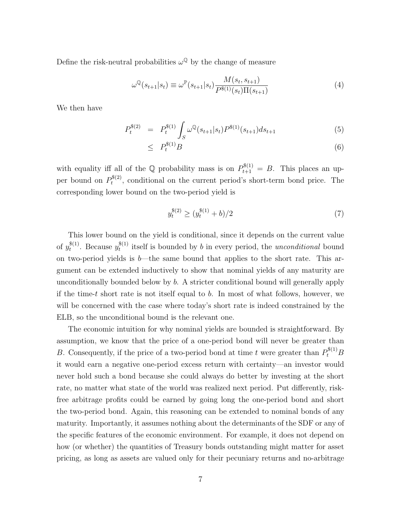Define the risk-neutral probabilities  $\omega^{\mathbb{Q}}$  by the change of measure

$$
\omega^{\mathbb{Q}}(s_{t+1}|s_t) \equiv \omega^{\mathbb{P}}(s_{t+1}|s_t) \frac{M(s_t, s_{t+1})}{P^{\$(1)}(s_t)\Pi(s_{t+1})}
$$
(4)

We then have

$$
P_t^{\$(2)} = P_t^{\$(1)} \int_S \omega^{\mathbb{Q}}(s_{t+1}|s_t) P^{\$(1)}(s_{t+1}) ds_{t+1} \tag{5}
$$

$$
\leq P_t^{\$(1)}B\tag{6}
$$

with equality iff all of the Q probability mass is on  $P_{t+1}^{\$(1)} = B$ . This places an upper bound on  $P_t^{\$(2)}$  $t^{(s)}(t)$ , conditional on the current period's short-term bond price. The corresponding lower bound on the two-period yield is

$$
y_t^{\$(2)} \ge (y_t^{\$(1)} + b)/2 \tag{7}
$$

This lower bound on the yield is conditional, since it depends on the current value of  $y_t^{\$(1)}$  $t^{(1)}$ . Because  $y_t^{(1)}$  $t_t^{(1)}$  itself is bounded by b in every period, the *unconditional* bound on two-period yields is  $b$ —the same bound that applies to the short rate. This argument can be extended inductively to show that nominal yields of any maturity are unconditionally bounded below by b. A stricter conditional bound will generally apply if the time-t short rate is not itself equal to b. In most of what follows, however, we will be concerned with the case where today's short rate is indeed constrained by the ELB, so the unconditional bound is the relevant one.

The economic intuition for why nominal yields are bounded is straightforward. By assumption, we know that the price of a one-period bond will never be greater than B. Consequently, if the price of a two-period bond at time t were greater than  $P_t^{\$(1)}B$ it would earn a negative one-period excess return with certainty—an investor would never hold such a bond because she could always do better by investing at the short rate, no matter what state of the world was realized next period. Put differently, riskfree arbitrage profits could be earned by going long the one-period bond and short the two-period bond. Again, this reasoning can be extended to nominal bonds of any maturity. Importantly, it assumes nothing about the determinants of the SDF or any of the specific features of the economic environment. For example, it does not depend on how (or whether) the quantities of Treasury bonds outstanding might matter for asset pricing, as long as assets are valued only for their pecuniary returns and no-arbitrage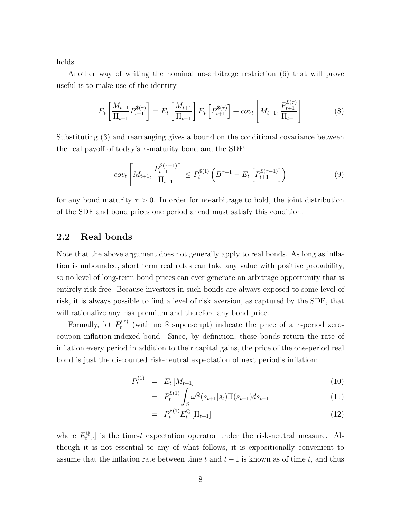holds.

Another way of writing the nominal no-arbitrage restriction (6) that will prove useful is to make use of the identity

$$
E_t\left[\frac{M_{t+1}}{\Pi_{t+1}}P_{t+1}^{\$(\tau)}\right] = E_t\left[\frac{M_{t+1}}{\Pi_{t+1}}\right]E_t\left[P_{t+1}^{\$(\tau)}\right] + cov_t\left[M_{t+1}, \frac{P_{t+1}^{\$(\tau)}\}}{\Pi_{t+1}}\right]
$$
(8)

Substituting (3) and rearranging gives a bound on the conditional covariance between the real payoff of today's  $\tau$ -maturity bond and the SDF:

$$
cov_t\left[M_{t+1}, \frac{P_{t+1}^{\$(\tau-1)}}{\Pi_{t+1}}\right] \le P_t^{\$(1)}\left(B^{\tau-1} - E_t\left[P_{t+1}^{\$(\tau-1)}\right]\right) \tag{9}
$$

for any bond maturity  $\tau > 0$ . In order for no-arbitrage to hold, the joint distribution of the SDF and bond prices one period ahead must satisfy this condition.

#### 2.2 Real bonds

Note that the above argument does not generally apply to real bonds. As long as inflation is unbounded, short term real rates can take any value with positive probability, so no level of long-term bond prices can ever generate an arbitrage opportunity that is entirely risk-free. Because investors in such bonds are always exposed to some level of risk, it is always possible to find a level of risk aversion, as captured by the SDF, that will rationalize any risk premium and therefore any bond price.

Formally, let  $P_t^{(\tau)}$  $t^{(7)}$  (with no \$ superscript) indicate the price of a  $\tau$ -period zerocoupon inflation-indexed bond. Since, by definition, these bonds return the rate of inflation every period in addition to their capital gains, the price of the one-period real bond is just the discounted risk-neutral expectation of next period's inflation:

$$
P_t^{(1)} = E_t \left[ M_{t+1} \right] \tag{10}
$$

$$
= P_t^{\$(1)} \int_S \omega^{\mathbb{Q}}(s_{t+1}|s_t) \Pi(s_{t+1}) ds_{t+1} \tag{11}
$$

$$
= P_t^{\$(1)} E_t^{\mathbb{Q}} [\Pi_{t+1}] \tag{12}
$$

where  $E_t^{\mathbb{Q}}$  $\mathbb{E}[t]$  is the time-t expectation operator under the risk-neutral measure. Although it is not essential to any of what follows, it is expositionally convenient to assume that the inflation rate between time t and  $t + 1$  is known as of time t, and thus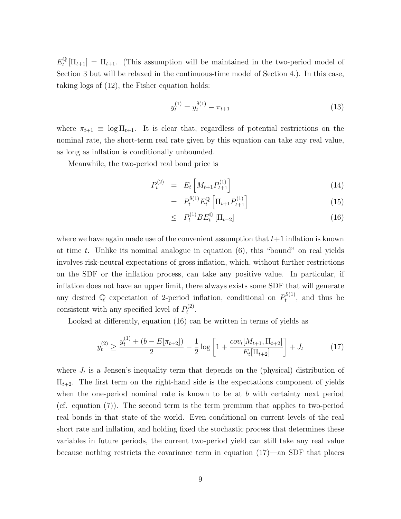$E_t^{\mathbb{Q}}$  $t_t^{\mathbb{Q}}\left[\Pi_{t+1}\right] = \Pi_{t+1}$ . (This assumption will be maintained in the two-period model of Section 3 but will be relaxed in the continuous-time model of Section 4.). In this case, taking logs of (12), the Fisher equation holds:

$$
y_t^{(1)} = y_t^{\$(1)} - \pi_{t+1} \tag{13}
$$

where  $\pi_{t+1} \equiv \log \Pi_{t+1}$ . It is clear that, regardless of potential restrictions on the nominal rate, the short-term real rate given by this equation can take any real value, as long as inflation is conditionally unbounded.

Meanwhile, the two-period real bond price is

$$
P_t^{(2)} = E_t \left[ M_{t+1} P_{t+1}^{(1)} \right] \tag{14}
$$

$$
= P_t^{\$(1)} E_t^{\mathbb{Q}} \left[ \Pi_{t+1} P_{t+1}^{(1)} \right] \tag{15}
$$

$$
\leq P_t^{(1)} B E_t^{\mathbb{Q}} \left[ \Pi_{t+2} \right] \tag{16}
$$

where we have again made use of the convenient assumption that  $t+1$  inflation is known at time t. Unlike its nominal analogue in equation  $(6)$ , this "bound" on real yields involves risk-neutral expectations of gross inflation, which, without further restrictions on the SDF or the inflation process, can take any positive value. In particular, if inflation does not have an upper limit, there always exists some SDF that will generate any desired Q expectation of 2-period inflation, conditional on  $P_t^{\$(1)}$  $t^{(1)}$ , and thus be consistent with any specified level of  $P_t^{(2)}$  $t^{(2)}$ .

Looked at differently, equation (16) can be written in terms of yields as

$$
y_t^{(2)} \ge \frac{y_t^{(1)} + (b - E[\pi_{t+2}])}{2} - \frac{1}{2}\log\left[1 + \frac{cov_t[M_{t+1}, \Pi_{t+2}]}{E_t[\Pi_{t+2}]} \right] + J_t \tag{17}
$$

where  $J_t$  is a Jensen's inequality term that depends on the (physical) distribution of  $\Pi_{t+2}$ . The first term on the right-hand side is the expectations component of yields when the one-period nominal rate is known to be at  $b$  with certainty next period (cf. equation (7)). The second term is the term premium that applies to two-period real bonds in that state of the world. Even conditional on current levels of the real short rate and inflation, and holding fixed the stochastic process that determines these variables in future periods, the current two-period yield can still take any real value because nothing restricts the covariance term in equation (17)—an SDF that places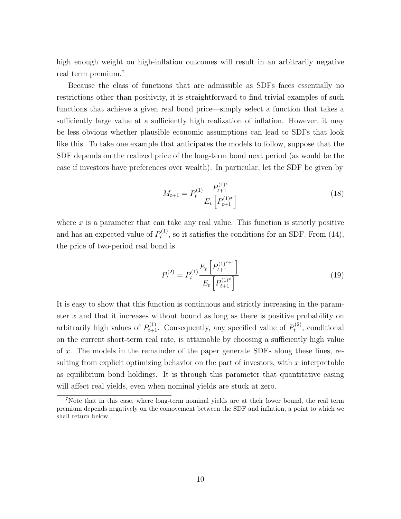high enough weight on high-inflation outcomes will result in an arbitrarily negative real term premium.<sup>7</sup>

Because the class of functions that are admissible as SDFs faces essentially no restrictions other than positivity, it is straightforward to find trivial examples of such functions that achieve a given real bond price—simply select a function that takes a sufficiently large value at a sufficiently high realization of inflation. However, it may be less obvious whether plausible economic assumptions can lead to SDFs that look like this. To take one example that anticipates the models to follow, suppose that the SDF depends on the realized price of the long-term bond next period (as would be the case if investors have preferences over wealth). In particular, let the SDF be given by

$$
M_{t+1} = P_t^{(1)} \frac{P_{t+1}^{(1)^x}}{E_t \left[ P_{t+1}^{(1)^x} \right]}
$$
 (18)

where  $x$  is a parameter that can take any real value. This function is strictly positive and has an expected value of  $P_t^{(1)}$  $t_t^{(1)}$ , so it satisfies the conditions for an SDF. From (14), the price of two-period real bond is

$$
P_t^{(2)} = P_t^{(1)} \frac{E_t \left[ P_{t+1}^{(1)^{x+1}} \right]}{E_t \left[ P_{t+1}^{(1)^{x}} \right]}
$$
(19)

It is easy to show that this function is continuous and strictly increasing in the parameter  $x$  and that it increases without bound as long as there is positive probability on arbitrarily high values of  $P_{t+1}^{(1)}$ . Consequently, any specified value of  $P_t^{(2)}$  $t^{(2)}$ , conditional on the current short-term real rate, is attainable by choosing a sufficiently high value of x. The models in the remainder of the paper generate SDFs along these lines, resulting from explicit optimizing behavior on the part of investors, with  $x$  interpretable as equilibrium bond holdings. It is through this parameter that quantitative easing will affect real yields, even when nominal yields are stuck at zero.

<sup>&</sup>lt;sup>7</sup>Note that in this case, where long-term nominal yields are at their lower bound, the real term premium depends negatively on the comovement between the SDF and inflation, a point to which we shall return below.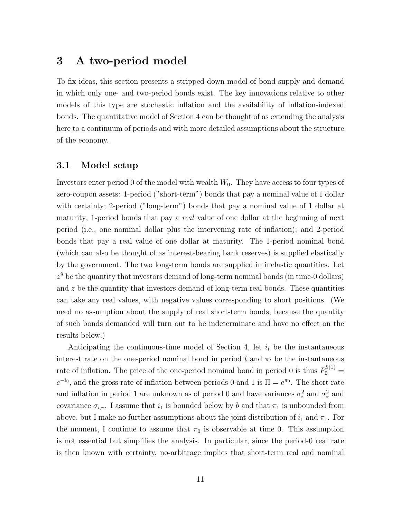# 3 A two-period model

To fix ideas, this section presents a stripped-down model of bond supply and demand in which only one- and two-period bonds exist. The key innovations relative to other models of this type are stochastic inflation and the availability of inflation-indexed bonds. The quantitative model of Section 4 can be thought of as extending the analysis here to a continuum of periods and with more detailed assumptions about the structure of the economy.

### 3.1 Model setup

Investors enter period 0 of the model with wealth  $W_0$ . They have access to four types of zero-coupon assets: 1-period ("short-term") bonds that pay a nominal value of 1 dollar with certainty; 2-period ("long-term") bonds that pay a nominal value of 1 dollar at maturity; 1-period bonds that pay a real value of one dollar at the beginning of next period (i.e., one nominal dollar plus the intervening rate of inflation); and 2-period bonds that pay a real value of one dollar at maturity. The 1-period nominal bond (which can also be thought of as interest-bearing bank reserves) is supplied elastically by the government. The two long-term bonds are supplied in inelastic quantities. Let  $z^{\$}$  be the quantity that investors demand of long-term nominal bonds (in time-0 dollars) and  $z$  be the quantity that investors demand of long-term real bonds. These quantities can take any real values, with negative values corresponding to short positions. (We need no assumption about the supply of real short-term bonds, because the quantity of such bonds demanded will turn out to be indeterminate and have no effect on the results below.)

Anticipating the continuous-time model of Section 4, let  $i_t$  be the instantaneous interest rate on the one-period nominal bond in period t and  $\pi_t$  be the instantaneous rate of inflation. The price of the one-period nominal bond in period 0 is thus  $P_0^{\$(1)} =$  $e^{-i_0}$ , and the gross rate of inflation between periods 0 and 1 is  $\Pi = e^{\pi_0}$ . The short rate and inflation in period 1 are unknown as of period 0 and have variances  $\sigma_i^2$  and  $\sigma_{\pi}^2$  and covariance  $\sigma_{i,\pi}$ . I assume that  $i_1$  is bounded below by b and that  $\pi_1$  is unbounded from above, but I make no further assumptions about the joint distribution of  $i_1$  and  $\pi_1$ . For the moment, I continue to assume that  $\pi_0$  is observable at time 0. This assumption is not essential but simplifies the analysis. In particular, since the period-0 real rate is then known with certainty, no-arbitrage implies that short-term real and nominal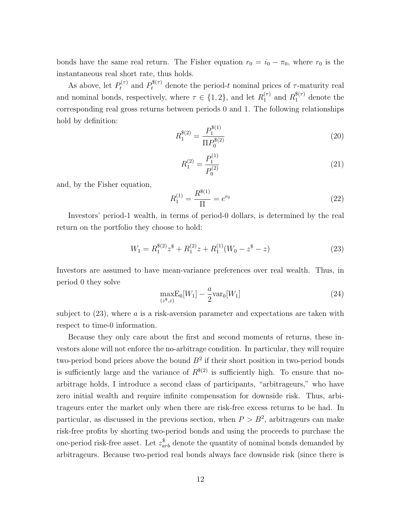bonds have the same real return. The Fisher equation  $r_0 = i_0 - \pi_0$ , where  $r_0$  is the instantaneous real short rate, thus holds.

As above, let  $P_t^{(\tau)}$  and  $P_t^{\$(\tau)}$  denote the period-t nominal prices of  $\tau$ -maturity real and nominal bonds, respectively, where  $\tau \in \{1, 2\}$ , and let  $R_1^{(\tau)}$  $n_1^{(\tau)}$  and  $R_1^{\$(\tau)}$  denote the corresponding real gross returns between periods 0 and 1. The following relationships hold by definition:

$$
R_1^{\$(2)} = \frac{P_1^{\$(1)}}{\Pi P_0^{\$(2)}}\tag{20}
$$

$$
R_1^{(2)} = \frac{P_1^{(1)}}{P_0^{(2)}}\tag{21}
$$

and, by the Fisher equation,

$$
R_1^{(1)} = \frac{R^{\$(1)}}{\Pi} = e^{r_0} \tag{22}
$$

Investors' period-1 wealth, in terms of period-0 dollars, is determined by the real return on the portfolio they choose to hold:

$$
W_1 = R_1^{\$(2)} z^{\$} + R_1^{(2)} z + R_1^{(1)} (W_0 - z^{\$} - z)
$$
\n(23)

Investors are assumed to have mean-variance preferences over real wealth. Thus, in period 0 they solve

$$
\max_{(z^*,z)} E_0[W_1] - \frac{a}{2} \text{var}_0[W_1] \tag{24}
$$

subject to  $(23)$ , where a is a risk-aversion parameter and expectations are taken with respect to time-0 information.

Because they only care about the first and second moments of returns, these investors alone will not enforce the no-arbitrage condition. In particular, they will require two-period bond prices above the bound  $B^2$  if their short position in two-period bonds is sufficiently large and the variance of  $R^{*(2)}$  is sufficiently high. To ensure that noarbitrage holds, I introduce a second class of participants, "arbitrageurs," who have zero initial wealth and require infinite compensation for downside risk. Thus, arbitrageurs enter the market only when there are risk-free excess returns to be had. In particular, as discussed in the previous section, when  $P > B<sup>2</sup>$ , arbitrageurs can make risk-free profits by shorting two-period bonds and using the proceeds to purchase the one-period risk-free asset. Let  $z_{arb}^{\$}$  denote the quantity of nominal bonds demanded by arbitrageurs. Because two-period real bonds always face downside risk (since there is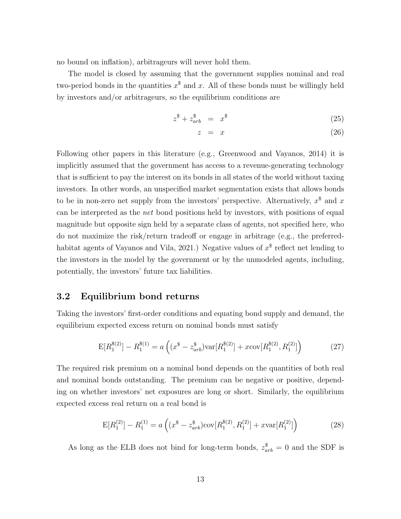no bound on inflation), arbitrageurs will never hold them.

The model is closed by assuming that the government supplies nominal and real two-period bonds in the quantities  $x^{\$}$  and x. All of these bonds must be willingly held by investors and/or arbitrageurs, so the equilibrium conditions are

$$
z^{\$} + z_{arb}^{\$} = x^{\$} \tag{25}
$$

$$
z = x \tag{26}
$$

Following other papers in this literature (e.g., Greenwood and Vayanos, 2014) it is implicitly assumed that the government has access to a revenue-generating technology that is sufficient to pay the interest on its bonds in all states of the world without taxing investors. In other words, an unspecified market segmentation exists that allows bonds to be in non-zero net supply from the investors' perspective. Alternatively,  $x^{\$}$  and  $x$ can be interpreted as the net bond positions held by investors, with positions of equal magnitude but opposite sign held by a separate class of agents, not specified here, who do not maximize the risk/return tradeoff or engage in arbitrage (e.g., the preferredhabitat agents of Vayanos and Vila, 2021.) Negative values of  $x^{\$}$  reflect net lending to the investors in the model by the government or by the unmodeled agents, including, potentially, the investors' future tax liabilities.

### 3.2 Equilibrium bond returns

Taking the investors' first-order conditions and equating bond supply and demand, the equilibrium expected excess return on nominal bonds must satisfy

$$
E[R_1^{\$(2)}] - R_1^{\$(1)} = a\left((x^{\$} - z_{arb}^{\$})\text{var}[R_1^{\$(2)}] + x\text{cov}[R_1^{\$(2)}, R_1^{(2)}]\right) \tag{27}
$$

The required risk premium on a nominal bond depends on the quantities of both real and nominal bonds outstanding. The premium can be negative or positive, depending on whether investors' net exposures are long or short. Similarly, the equilibrium expected excess real return on a real bond is

$$
E[R_1^{(2)}] - R_1^{(1)} = a\left((x^{\$} - z_{arb}^{\$})cov[R_1^{\$(2)}, R_1^{(2)}] + xvar[R_1^{(2)}]\right)
$$
(28)

As long as the ELB does not bind for long-term bonds,  $z_{arb}^{\$} = 0$  and the SDF is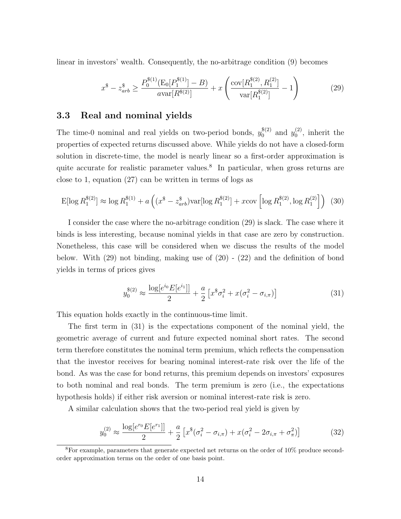linear in investors' wealth. Consequently, the no-arbitrage condition (9) becomes

$$
x^{\$} - z_{arb}^{\$} \ge \frac{P_0^{\$(1)}(\mathrm{E}_0[P_1^{\$(1)}] - B)}{a \mathrm{var}[R^{\$(2)}]} + x \left( \frac{\mathrm{cov}[R_1^{\$(2)}, R_1^{(2)}]}{\mathrm{var}[R_1^{\$(2)}]} - 1 \right)
$$
(29)

#### 3.3 Real and nominal yields

The time-0 nominal and real yields on two-period bonds,  $y_0^{\$(2)}$  $y_0^{(2)}$  and  $y_0^{(2)}$  $\binom{2}{0}$ , inherit the properties of expected returns discussed above. While yields do not have a closed-form solution in discrete-time, the model is nearly linear so a first-order approximation is quite accurate for realistic parameter values.<sup>8</sup> In particular, when gross returns are close to 1, equation (27) can be written in terms of logs as

$$
E[\log R_1^{\$(2)}] \approx \log R_1^{\$(1)} + a\left( (x^\$ - z^\$_{arb})\text{var}[\log R_1^{\$(2)}] + x\text{cov}\left[\log R_1^{\$(2)}, \log R_1^{(2)}\right] \right) (30)
$$

I consider the case where the no-arbitrage condition (29) is slack. The case where it binds is less interesting, because nominal yields in that case are zero by construction. Nonetheless, this case will be considered when we discuss the results of the model below. With  $(29)$  not binding, making use of  $(20)$  -  $(22)$  and the definition of bond yields in terms of prices gives

$$
y_0^{\$(2)} \approx \frac{\log[e^{i_0}E[e^{i_1}]]}{2} + \frac{a}{2} \left[ x^{\$} \sigma_i^2 + x(\sigma_i^2 - \sigma_{i,\pi}) \right]
$$
(31)

This equation holds exactly in the continuous-time limit.

The first term in (31) is the expectations component of the nominal yield, the geometric average of current and future expected nominal short rates. The second term therefore constitutes the nominal term premium, which reflects the compensation that the investor receives for bearing nominal interest-rate risk over the life of the bond. As was the case for bond returns, this premium depends on investors' exposures to both nominal and real bonds. The term premium is zero (i.e., the expectations hypothesis holds) if either risk aversion or nominal interest-rate risk is zero.

A similar calculation shows that the two-period real yield is given by

$$
y_0^{(2)} \approx \frac{\log[e^{r_0}E[e^{r_1}]]}{2} + \frac{a}{2} \left[ x^8(\sigma_i^2 - \sigma_{i,\pi}) + x(\sigma_i^2 - 2\sigma_{i,\pi} + \sigma_\pi^2) \right]
$$
(32)

<sup>8</sup>For example, parameters that generate expected net returns on the order of 10% produce secondorder approximation terms on the order of one basis point.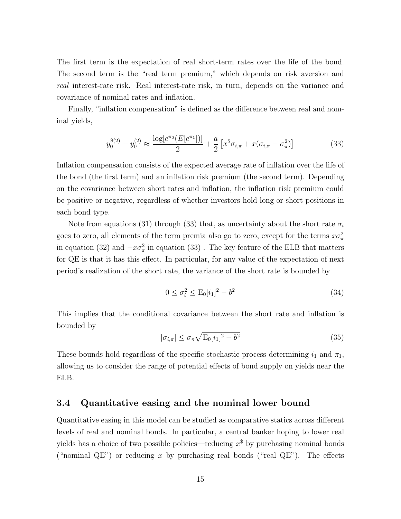The first term is the expectation of real short-term rates over the life of the bond. The second term is the "real term premium," which depends on risk aversion and real interest-rate risk. Real interest-rate risk, in turn, depends on the variance and covariance of nominal rates and inflation.

Finally, "inflation compensation" is defined as the difference between real and nominal yields,

$$
y_0^{*(2)} - y_0^{(2)} \approx \frac{\log[e^{\pi_0}(E[e^{\pi_1}])]}{2} + \frac{a}{2} \left[ x^{\$} \sigma_{i,\pi} + x(\sigma_{i,\pi} - \sigma_{\pi}^2) \right]
$$
(33)

Inflation compensation consists of the expected average rate of inflation over the life of the bond (the first term) and an inflation risk premium (the second term). Depending on the covariance between short rates and inflation, the inflation risk premium could be positive or negative, regardless of whether investors hold long or short positions in each bond type.

Note from equations (31) through (33) that, as uncertainty about the short rate  $\sigma_i$ goes to zero, all elements of the term premia also go to zero, except for the terms  $x\sigma_{\pi}^2$ in equation (32) and  $-x\sigma_{\pi}^2$  in equation (33). The key feature of the ELB that matters for QE is that it has this effect. In particular, for any value of the expectation of next period's realization of the short rate, the variance of the short rate is bounded by

$$
0 \le \sigma_i^2 \le \mathcal{E}_0[i_1]^2 - b^2 \tag{34}
$$

This implies that the conditional covariance between the short rate and inflation is bounded by

$$
|\sigma_{i,\pi}| \le \sigma_{\pi} \sqrt{\mathcal{E}_0[i_1]^2 - b^2} \tag{35}
$$

These bounds hold regardless of the specific stochastic process determining  $i_1$  and  $\pi_1$ , allowing us to consider the range of potential effects of bond supply on yields near the ELB.

### 3.4 Quantitative easing and the nominal lower bound

Quantitative easing in this model can be studied as comparative statics across different levels of real and nominal bonds. In particular, a central banker hoping to lower real yields has a choice of two possible policies—reducing  $x^{\$}$  by purchasing nominal bonds ("nominal QE") or reducing x by purchasing real bonds ("real QE"). The effects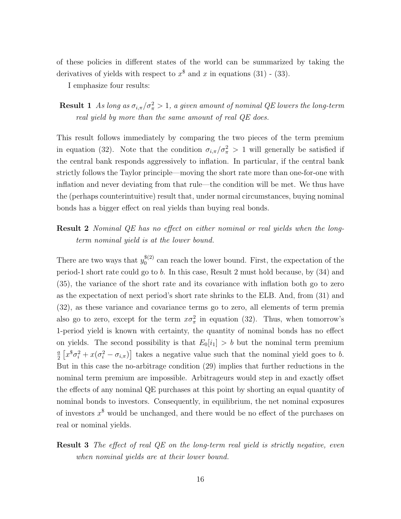of these policies in different states of the world can be summarized by taking the derivatives of yields with respect to  $x^{\$}$  and  $x$  in equations (31) - (33).

I emphasize four results:

**Result 1** As long as  $\sigma_{i,\pi}/\sigma_{\pi}^2 > 1$ , a given amount of nominal QE lowers the long-term real yield by more than the same amount of real QE does.

This result follows immediately by comparing the two pieces of the term premium in equation (32). Note that the condition  $\sigma_{i,\pi}/\sigma_{\pi}^2 > 1$  will generally be satisfied if the central bank responds aggressively to inflation. In particular, if the central bank strictly follows the Taylor principle—moving the short rate more than one-for-one with inflation and never deviating from that rule—the condition will be met. We thus have the (perhaps counterintuitive) result that, under normal circumstances, buying nominal bonds has a bigger effect on real yields than buying real bonds.

### Result 2 Nominal QE has no effect on either nominal or real yields when the longterm nominal yield is at the lower bound.

There are two ways that  $y_0^{\$(2)}$  $_{0}^{\mathfrak{d}(2)}$  can reach the lower bound. First, the expectation of the period-1 short rate could go to b. In this case, Result 2 must hold because, by (34) and (35), the variance of the short rate and its covariance with inflation both go to zero as the expectation of next period's short rate shrinks to the ELB. And, from (31) and (32), as these variance and covariance terms go to zero, all elements of term premia also go to zero, except for the term  $x\sigma_{\pi}^2$  in equation (32). Thus, when tomorrow's 1-period yield is known with certainty, the quantity of nominal bonds has no effect on yields. The second possibility is that  $E_0[i_1] > b$  but the nominal term premium a  $\frac{a}{2} \left[ x^{\$} \sigma_i^2 + x(\sigma_i^2 - \sigma_{i,\pi}) \right]$  takes a negative value such that the nominal yield goes to b. But in this case the no-arbitrage condition (29) implies that further reductions in the nominal term premium are impossible. Arbitrageurs would step in and exactly offset the effects of any nominal QE purchases at this point by shorting an equal quantity of nominal bonds to investors. Consequently, in equilibrium, the net nominal exposures of investors  $x^{\$}$  would be unchanged, and there would be no effect of the purchases on real or nominal yields.

### **Result 3** The effect of real QE on the long-term real yield is strictly negative, even when nominal yields are at their lower bound.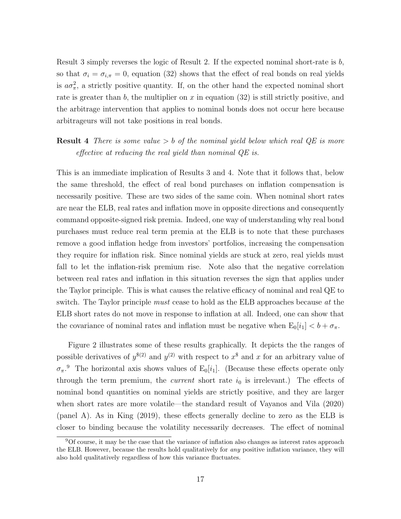Result 3 simply reverses the logic of Result 2. If the expected nominal short-rate is b, so that  $\sigma_i = \sigma_{i,\pi} = 0$ , equation (32) shows that the effect of real bonds on real yields is  $a\sigma_{\pi}^2$ , a strictly positive quantity. If, on the other hand the expected nominal short rate is greater than b, the multiplier on x in equation  $(32)$  is still strictly positive, and the arbitrage intervention that applies to nominal bonds does not occur here because arbitrageurs will not take positions in real bonds.

### **Result 4** There is some value  $> b$  of the nominal yield below which real QE is more effective at reducing the real yield than nominal QE is.

This is an immediate implication of Results 3 and 4. Note that it follows that, below the same threshold, the effect of real bond purchases on inflation compensation is necessarily positive. These are two sides of the same coin. When nominal short rates are near the ELB, real rates and inflation move in opposite directions and consequently command opposite-signed risk premia. Indeed, one way of understanding why real bond purchases must reduce real term premia at the ELB is to note that these purchases remove a good inflation hedge from investors' portfolios, increasing the compensation they require for inflation risk. Since nominal yields are stuck at zero, real yields must fall to let the inflation-risk premium rise. Note also that the negative correlation between real rates and inflation in this situation reverses the sign that applies under the Taylor principle. This is what causes the relative efficacy of nominal and real QE to switch. The Taylor principle *must* cease to hold as the ELB approaches because at the ELB short rates do not move in response to inflation at all. Indeed, one can show that the covariance of nominal rates and inflation must be negative when  $E_0[i_1] < b + \sigma_{\pi}$ .

Figure 2 illustrates some of these results graphically. It depicts the the ranges of possible derivatives of  $y^{(2)}$  and  $y^{(2)}$  with respect to  $x^*$  and x for an arbitrary value of  $\sigma_{\pi}$ <sup>9</sup>. The horizontal axis shows values of E<sub>0</sub>[i<sub>1</sub>]. (Because these effects operate only through the term premium, the *current* short rate  $i_0$  is irrelevant.) The effects of nominal bond quantities on nominal yields are strictly positive, and they are larger when short rates are more volatile—the standard result of Vayanos and Vila (2020) (panel A). As in King (2019), these effects generally decline to zero as the ELB is closer to binding because the volatility necessarily decreases. The effect of nominal

<sup>9</sup>Of course, it may be the case that the variance of inflation also changes as interest rates approach the ELB. However, because the results hold qualitatively for any positive inflation variance, they will also hold qualitatively regardless of how this variance fluctuates.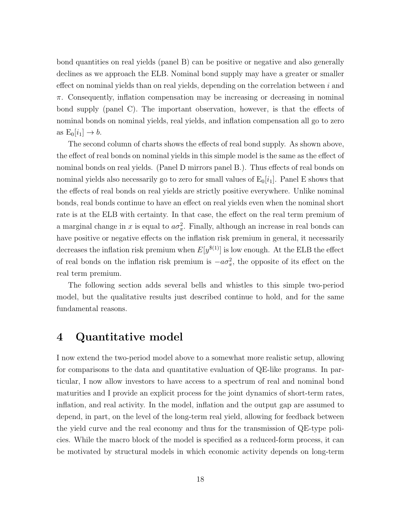bond quantities on real yields (panel B) can be positive or negative and also generally declines as we approach the ELB. Nominal bond supply may have a greater or smaller effect on nominal yields than on real yields, depending on the correlation between  $i$  and  $\pi$ . Consequently, inflation compensation may be increasing or decreasing in nominal bond supply (panel C). The important observation, however, is that the effects of nominal bonds on nominal yields, real yields, and inflation compensation all go to zero as  $E_0[i_1] \rightarrow b$ .

The second column of charts shows the effects of real bond supply. As shown above, the effect of real bonds on nominal yields in this simple model is the same as the effect of nominal bonds on real yields. (Panel D mirrors panel B.). Thus effects of real bonds on nominal yields also necessarily go to zero for small values of  $E_0[i_1]$ . Panel E shows that the effects of real bonds on real yields are strictly positive everywhere. Unlike nominal bonds, real bonds continue to have an effect on real yields even when the nominal short rate is at the ELB with certainty. In that case, the effect on the real term premium of a marginal change in x is equal to  $a\sigma_{\pi}^2$ . Finally, although an increase in real bonds can have positive or negative effects on the inflation risk premium in general, it necessarily decreases the inflation risk premium when  $E[y^{\$(1)}]$  is low enough. At the ELB the effect of real bonds on the inflation risk premium is  $-a\sigma_{\pi}^2$ , the opposite of its effect on the real term premium.

The following section adds several bells and whistles to this simple two-period model, but the qualitative results just described continue to hold, and for the same fundamental reasons.

# 4 Quantitative model

I now extend the two-period model above to a somewhat more realistic setup, allowing for comparisons to the data and quantitative evaluation of QE-like programs. In particular, I now allow investors to have access to a spectrum of real and nominal bond maturities and I provide an explicit process for the joint dynamics of short-term rates, inflation, and real activity. In the model, inflation and the output gap are assumed to depend, in part, on the level of the long-term real yield, allowing for feedback between the yield curve and the real economy and thus for the transmission of QE-type policies. While the macro block of the model is specified as a reduced-form process, it can be motivated by structural models in which economic activity depends on long-term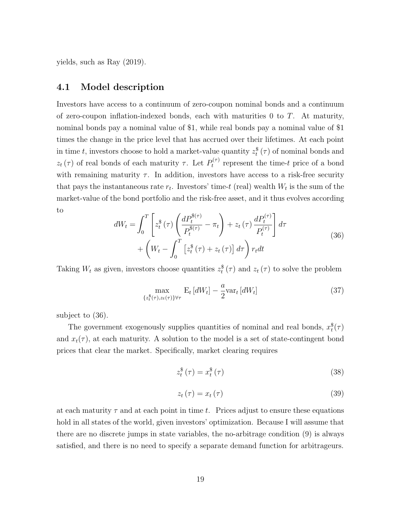yields, such as Ray (2019).

#### 4.1 Model description

Investors have access to a continuum of zero-coupon nominal bonds and a continuum of zero-coupon inflation-indexed bonds, each with maturities  $0$  to  $T$ . At maturity, nominal bonds pay a nominal value of \$1, while real bonds pay a nominal value of \$1 times the change in the price level that has accrued over their lifetimes. At each point in time t, investors choose to hold a market-value quantity  $z_t^{\$}(\tau)$  of nominal bonds and  $z_t(\tau)$  of real bonds of each maturity  $\tau$ . Let  $P_t^{(\tau)}$  $t_t^{(\tau)}$  represent the time-t price of a bond with remaining maturity  $\tau$ . In addition, investors have access to a risk-free security that pays the instantaneous rate  $r_t$ . Investors' time-t (real) wealth  $W_t$  is the sum of the market-value of the bond portfolio and the risk-free asset, and it thus evolves according to

$$
dW_t = \int_0^T \left[ z_t^{\$}(\tau) \left( \frac{dP_t^{\$(\tau)}}{P_t^{\$(\tau)}} - \pi_t \right) + z_t(\tau) \frac{dP_t^{(\tau)}}{P_t^{(\tau)}} \right] d\tau
$$
  
+ 
$$
\left( W_t - \int_0^T \left[ z_t^{\$}(\tau) + z_t(\tau) \right] d\tau \right) r_t dt
$$
 (36)

Taking  $W_t$  as given, investors choose quantities  $z_t^{\$}(\tau)$  and  $z_t(\tau)$  to solve the problem

$$
\max_{\{z_t^{\$}(\tau), z_t(\tau)\}\forall \tau} \mathcal{E}_t\left[dW_t\right] - \frac{a}{2} \text{var}_t\left[dW_t\right] \tag{37}
$$

subject to (36).

The government exogenously supplies quantities of nominal and real bonds,  $x_t^*(\tau)$ and  $x_t(\tau)$ , at each maturity. A solution to the model is a set of state-contingent bond prices that clear the market. Specifically, market clearing requires

$$
z_t^{\$}(\tau) = x_t^{\$}(\tau) \tag{38}
$$

$$
z_t\left(\tau\right) = x_t\left(\tau\right) \tag{39}
$$

at each maturity  $\tau$  and at each point in time t. Prices adjust to ensure these equations hold in all states of the world, given investors' optimization. Because I will assume that there are no discrete jumps in state variables, the no-arbitrage condition (9) is always satisfied, and there is no need to specify a separate demand function for arbitrageurs.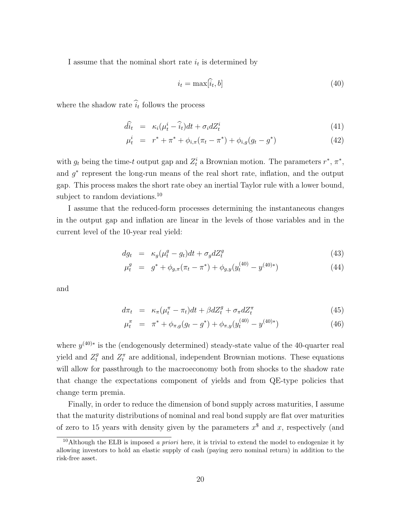I assume that the nominal short rate  $i_t$  is determined by

$$
i_t = \max[\hat{i}_t, b] \tag{40}
$$

where the shadow rate  $i_t$  follows the process

$$
\widehat{di_t} = \kappa_i (\mu_t^i - \widehat{i_t}) dt + \sigma_i dZ_t^i \tag{41}
$$

$$
\mu_t^i = r^* + \pi^* + \phi_{i,\pi}(\pi_t - \pi^*) + \phi_{i,g}(g_t - g^*)
$$
\n(42)

with  $g_t$  being the time-t output gap and  $Z_t^i$  a Brownian motion. The parameters  $r^*$ ,  $\pi^*$ , and  $g^*$  represent the long-run means of the real short rate, inflation, and the output gap. This process makes the short rate obey an inertial Taylor rule with a lower bound, subject to random deviations.<sup>10</sup>

I assume that the reduced-form processes determining the instantaneous changes in the output gap and inflation are linear in the levels of those variables and in the current level of the 10-year real yield:

$$
dg_t = \kappa_g(\mu_t^g - g_t)dt + \sigma_g dZ_t^g \tag{43}
$$

$$
\mu_t^g = g^* + \phi_{g,\pi}(\pi_t - \pi^*) + \phi_{g,y}(y_t^{(40)} - y^{(40)*})
$$
\n(44)

and

$$
d\pi_t = \kappa_\pi (\mu_t^\pi - \pi_t) dt + \beta dZ_t^g + \sigma_\pi dZ_t^\pi \tag{45}
$$

$$
\mu_t^{\pi} = \pi^* + \phi_{\pi,g}(g_t - g^*) + \phi_{\pi,y}(y_t^{(40)} - y^{(40)*})
$$
\n(46)

where  $y^{(40)*}$  is the (endogenously determined) steady-state value of the 40-quarter real yield and  $Z_t^g$  and  $Z_t^{\pi}$  are additional, independent Brownian motions. These equations will allow for passthrough to the macroeconomy both from shocks to the shadow rate that change the expectations component of yields and from QE-type policies that change term premia.

Finally, in order to reduce the dimension of bond supply across maturities, I assume that the maturity distributions of nominal and real bond supply are flat over maturities of zero to 15 years with density given by the parameters  $x^{\$}$  and x, respectively (and

<sup>&</sup>lt;sup>10</sup>Although the ELB is imposed *a priori* here, it is trivial to extend the model to endogenize it by allowing investors to hold an elastic supply of cash (paying zero nominal return) in addition to the risk-free asset.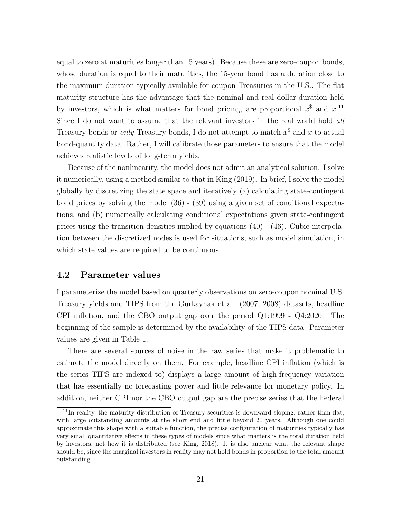equal to zero at maturities longer than 15 years). Because these are zero-coupon bonds, whose duration is equal to their maturities, the 15-year bond has a duration close to the maximum duration typically available for coupon Treasuries in the U.S.. The flat maturity structure has the advantage that the nominal and real dollar-duration held by investors, which is what matters for bond pricing, are proportional  $x^{\$}$  and  $x^{11}$ Since I do not want to assume that the relevant investors in the real world hold all Treasury bonds or *only* Treasury bonds, I do not attempt to match  $x^{\$}$  and x to actual bond-quantity data. Rather, I will calibrate those parameters to ensure that the model achieves realistic levels of long-term yields.

Because of the nonlinearity, the model does not admit an analytical solution. I solve it numerically, using a method similar to that in King (2019). In brief, I solve the model globally by discretizing the state space and iteratively (a) calculating state-contingent bond prices by solving the model (36) - (39) using a given set of conditional expectations, and (b) numerically calculating conditional expectations given state-contingent prices using the transition densities implied by equations  $(40)$  -  $(46)$ . Cubic interpolation between the discretized nodes is used for situations, such as model simulation, in which state values are required to be continuous.

### 4.2 Parameter values

I parameterize the model based on quarterly observations on zero-coupon nominal U.S. Treasury yields and TIPS from the Gurkaynak et al. (2007, 2008) datasets, headline CPI inflation, and the CBO output gap over the period Q1:1999 - Q4:2020. The beginning of the sample is determined by the availability of the TIPS data. Parameter values are given in Table 1.

There are several sources of noise in the raw series that make it problematic to estimate the model directly on them. For example, headline CPI inflation (which is the series TIPS are indexed to) displays a large amount of high-frequency variation that has essentially no forecasting power and little relevance for monetary policy. In addition, neither CPI nor the CBO output gap are the precise series that the Federal

 $11$ In reality, the maturity distribution of Treasury securities is downward sloping, rather than flat, with large outstanding amounts at the short end and little beyond 20 years. Although one could approximate this shape with a suitable function, the precise configuration of maturities typically has very small quantitative effects in these types of models since what matters is the total duration held by investors, not how it is distributed (see King, 2018). It is also unclear what the relevant shape should be, since the marginal investors in reality may not hold bonds in proportion to the total amount outstanding.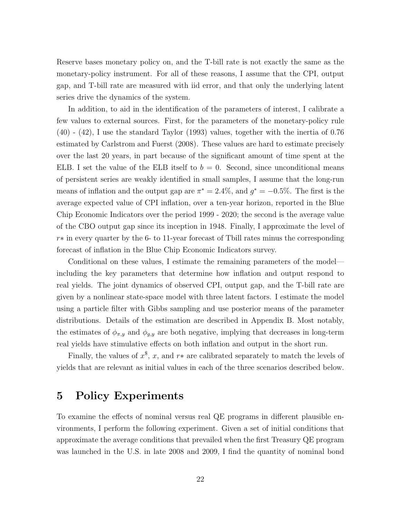Reserve bases monetary policy on, and the T-bill rate is not exactly the same as the monetary-policy instrument. For all of these reasons, I assume that the CPI, output gap, and T-bill rate are measured with iid error, and that only the underlying latent series drive the dynamics of the system.

In addition, to aid in the identification of the parameters of interest, I calibrate a few values to external sources. First, for the parameters of the monetary-policy rule (40) - (42), I use the standard Taylor (1993) values, together with the inertia of 0.76 estimated by Carlstrom and Fuerst (2008). These values are hard to estimate precisely over the last 20 years, in part because of the significant amount of time spent at the ELB. I set the value of the ELB itself to  $b = 0$ . Second, since unconditional means of persistent series are weakly identified in small samples, I assume that the long-run means of inflation and the output gap are  $\pi^* = 2.4\%$ , and  $g^* = -0.5\%$ . The first is the average expected value of CPI inflation, over a ten-year horizon, reported in the Blue Chip Economic Indicators over the period 1999 - 2020; the second is the average value of the CBO output gap since its inception in 1948. Finally, I approximate the level of r∗ in every quarter by the 6- to 11-year forecast of Tbill rates minus the corresponding forecast of inflation in the Blue Chip Economic Indicators survey.

Conditional on these values, I estimate the remaining parameters of the model including the key parameters that determine how inflation and output respond to real yields. The joint dynamics of observed CPI, output gap, and the T-bill rate are given by a nonlinear state-space model with three latent factors. I estimate the model using a particle filter with Gibbs sampling and use posterior means of the parameter distributions. Details of the estimation are described in Appendix B. Most notably, the estimates of  $\phi_{\pi,y}$  and  $\phi_{g,y}$  are both negative, implying that decreases in long-term real yields have stimulative effects on both inflation and output in the short run.

Finally, the values of  $x^{\$}$ , x, and  $r*$  are calibrated separately to match the levels of yields that are relevant as initial values in each of the three scenarios described below.

# 5 Policy Experiments

To examine the effects of nominal versus real QE programs in different plausible environments, I perform the following experiment. Given a set of initial conditions that approximate the average conditions that prevailed when the first Treasury QE program was launched in the U.S. in late 2008 and 2009, I find the quantity of nominal bond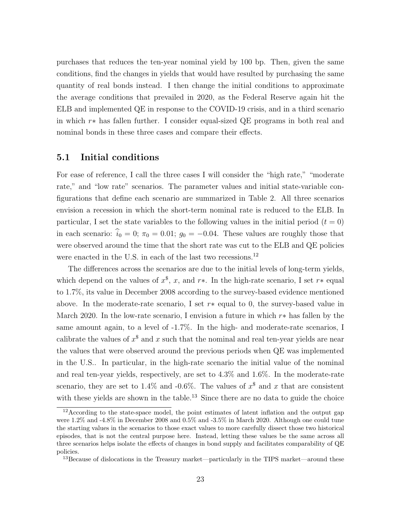purchases that reduces the ten-year nominal yield by 100 bp. Then, given the same conditions, find the changes in yields that would have resulted by purchasing the same quantity of real bonds instead. I then change the initial conditions to approximate the average conditions that prevailed in 2020, as the Federal Reserve again hit the ELB and implemented QE in response to the COVID-19 crisis, and in a third scenario in which r∗ has fallen further. I consider equal-sized QE programs in both real and nominal bonds in these three cases and compare their effects.

#### 5.1 Initial conditions

For ease of reference, I call the three cases I will consider the "high rate," "moderate rate," and "low rate" scenarios. The parameter values and initial state-variable configurations that define each scenario are summarized in Table 2. All three scenarios envision a recession in which the short-term nominal rate is reduced to the ELB. In particular, I set the state variables to the following values in the initial period  $(t = 0)$ in each scenario:  $\hat{i}_0 = 0$ ;  $\pi_0 = 0.01$ ;  $g_0 = -0.04$ . These values are roughly those that were observed around the time that the short rate was cut to the ELB and QE policies were enacted in the U.S. in each of the last two recessions.<sup>12</sup>

The differences across the scenarios are due to the initial levels of long-term yields, which depend on the values of  $x^{\$}$ , x, and r<sup>\*</sup>. In the high-rate scenario, I set r<sup>\*</sup> equal to 1.7%, its value in December 2008 according to the survey-based evidence mentioned above. In the moderate-rate scenario, I set  $r*$  equal to 0, the survey-based value in March 2020. In the low-rate scenario, I envision a future in which  $r*$  has fallen by the same amount again, to a level of -1.7%. In the high- and moderate-rate scenarios, I calibrate the values of  $x^{\$}$  and x such that the nominal and real ten-year yields are near the values that were observed around the previous periods when QE was implemented in the U.S.. In particular, in the high-rate scenario the initial value of the nominal and real ten-year yields, respectively, are set to 4.3% and 1.6%. In the moderate-rate scenario, they are set to 1.4% and -0.6%. The values of  $x^{\$}$  and x that are consistent with these yields are shown in the table.<sup>13</sup> Since there are no data to guide the choice

 $12$ According to the state-space model, the point estimates of latent inflation and the output gap were 1.2% and -4.8% in December 2008 and 0.5% and -3.5% in March 2020. Although one could tune the starting values in the scenarios to those exact values to more carefully dissect those two historical episodes, that is not the central purpose here. Instead, letting these values be the same across all three scenarios helps isolate the effects of changes in bond supply and facilitates comparability of QE policies.

<sup>13</sup>Because of dislocations in the Treasury market—particularly in the TIPS market—around these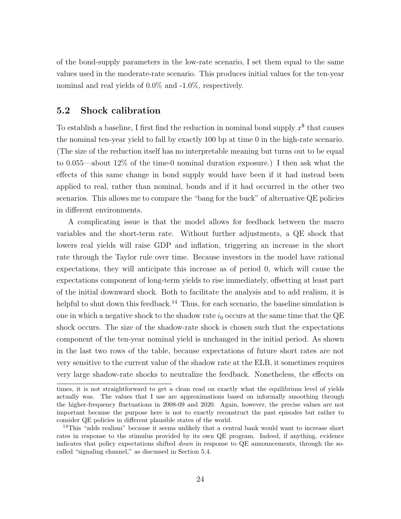of the bond-supply parameters in the low-rate scenario, I set them equal to the same values used in the moderate-rate scenario. This produces initial values for the ten-year nominal and real yields of 0.0% and -1.0%, respectively.

#### 5.2 Shock calibration

To establish a baseline, I first find the reduction in nominal bond supply  $x^{\$}$  that causes the nominal ten-year yield to fall by exactly 100 bp at time 0 in the high-rate scenario. (The size of the reduction itself has no interpretable meaning but turns out to be equal to 0.055—about 12% of the time-0 nominal duration exposure.) I then ask what the effects of this same change in bond supply would have been if it had instead been applied to real, rather than nominal, bonds and if it had occurred in the other two scenarios. This allows me to compare the "bang for the buck" of alternative QE policies in different environments.

A complicating issue is that the model allows for feedback between the macro variables and the short-term rate. Without further adjustments, a QE shock that lowers real yields will raise GDP and inflation, triggering an increase in the short rate through the Taylor rule over time. Because investors in the model have rational expectations, they will anticipate this increase as of period 0, which will cause the expectations component of long-term yields to rise immediately, offsetting at least part of the initial downward shock. Both to facilitate the analysis and to add realism, it is helpful to shut down this feedback.<sup>14</sup> Thus, for each scenario, the baseline simulation is one in which a negative shock to the shadow rate  $i_0$  occurs at the same time that the QE shock occurs. The size of the shadow-rate shock is chosen such that the expectations component of the ten-year nominal yield is unchanged in the initial period. As shown in the last two rows of the table, because expectations of future short rates are not very sensitive to the current value of the shadow rate at the ELB, it sometimes requires very large shadow-rate shocks to neutralize the feedback. Nonetheless, the effects on

times, it is not straightforward to get a clean read on exactly what the equilibrium level of yields actually was. The values that I use are approximations based on informally smoothing through the higher-frequency fluctuations in 2008-09 and 2020. Again, however, the precise values are not important because the purpose here is not to exactly reconstruct the past episodes but rather to consider QE policies in different plausible states of the world.

<sup>&</sup>lt;sup>14</sup>This "adds realism" because it seems unlikely that a central bank would want to increase short rates in response to the stimulus provided by its own QE program. Indeed, if anything, evidence indicates that policy expectations shifted down in response to QE announcements, through the socalled "signaling channel," as discussed in Section 5.4.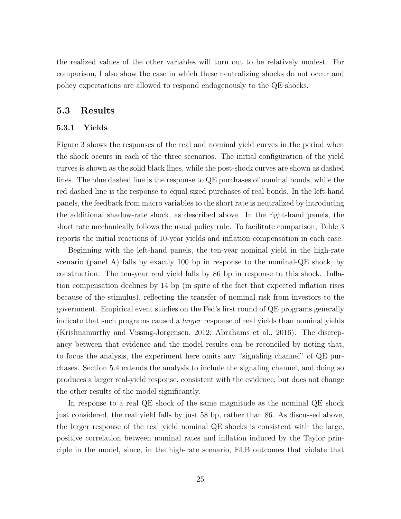the realized values of the other variables will turn out to be relatively modest. For comparison, I also show the case in which these neutralizing shocks do not occur and policy expectations are allowed to respond endogenously to the QE shocks.

#### 5.3 Results

#### 5.3.1 Yields

Figure 3 shows the responses of the real and nominal yield curves in the period when the shock occurs in each of the three scenarios. The initial configuration of the yield curves is shown as the solid black lines, while the post-shock curves are shown as dashed lines. The blue dashed line is the response to QE purchases of nominal bonds, while the red dashed line is the response to equal-sized purchases of real bonds. In the left-hand panels, the feedback from macro variables to the short rate is neutralized by introducing the additional shadow-rate shock, as described above. In the right-hand panels, the short rate mechanically follows the usual policy rule. To facilitate comparison, Table 3 reports the initial reactions of 10-year yields and inflation compensation in each case.

Beginning with the left-hand panels, the ten-year nominal yield in the high-rate scenario (panel A) falls by exactly 100 bp in response to the nominal-QE shock, by construction. The ten-year real yield falls by 86 bp in response to this shock. Inflation compensation declines by 14 bp (in spite of the fact that expected inflation rises because of the stimulus), reflecting the transfer of nominal risk from investors to the government. Empirical event studies on the Fed's first round of QE programs generally indicate that such programs caused a larger response of real yields than nominal yields (Krishnamurthy and Vissing-Jorgensen, 2012; Abrahams et al., 2016). The discrepancy between that evidence and the model results can be reconciled by noting that, to focus the analysis, the experiment here omits any "signaling channel" of QE purchases. Section 5.4 extends the analysis to include the signaling channel, and doing so produces a larger real-yield response, consistent with the evidence, but does not change the other results of the model significantly.

In response to a real QE shock of the same magnitude as the nominal QE shock just considered, the real yield falls by just 58 bp, rather than 86. As discussed above, the larger response of the real yield nominal QE shocks is consistent with the large, positive correlation between nominal rates and inflation induced by the Taylor principle in the model, since, in the high-rate scenario, ELB outcomes that violate that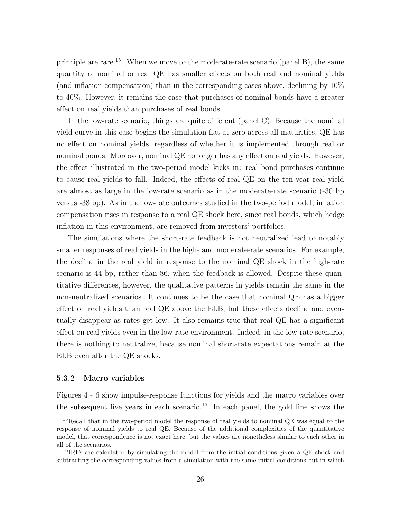principle are rare.<sup>15</sup>. When we move to the moderate-rate scenario (panel B), the same quantity of nominal or real QE has smaller effects on both real and nominal yields (and inflation compensation) than in the corresponding cases above, declining by 10% to 40%. However, it remains the case that purchases of nominal bonds have a greater effect on real yields than purchases of real bonds.

In the low-rate scenario, things are quite different (panel C). Because the nominal yield curve in this case begins the simulation flat at zero across all maturities, QE has no effect on nominal yields, regardless of whether it is implemented through real or nominal bonds. Moreover, nominal QE no longer has any effect on real yields. However, the effect illustrated in the two-period model kicks in: real bond purchases continue to cause real yields to fall. Indeed, the effects of real QE on the ten-year real yield are almost as large in the low-rate scenario as in the moderate-rate scenario (-30 bp versus -38 bp). As in the low-rate outcomes studied in the two-period model, inflation compensation rises in response to a real QE shock here, since real bonds, which hedge inflation in this environment, are removed from investors' portfolios.

The simulations where the short-rate feedback is not neutralized lead to notably smaller responses of real yields in the high- and moderate-rate scenarios. For example, the decline in the real yield in response to the nominal QE shock in the high-rate scenario is 44 bp, rather than 86, when the feedback is allowed. Despite these quantitative differences, however, the qualitative patterns in yields remain the same in the non-neutralized scenarios. It continues to be the case that nominal QE has a bigger effect on real yields than real QE above the ELB, but these effects decline and eventually disappear as rates get low. It also remains true that real QE has a significant effect on real yields even in the low-rate environment. Indeed, in the low-rate scenario, there is nothing to neutralize, because nominal short-rate expectations remain at the ELB even after the QE shocks.

#### 5.3.2 Macro variables

Figures 4 - 6 show impulse-response functions for yields and the macro variables over the subsequent five years in each scenario.<sup>16</sup> In each panel, the gold line shows the

<sup>&</sup>lt;sup>15</sup>Recall that in the two-period model the response of real yields to nominal QE was equal to the response of nominal yields to real QE. Because of the additional complexities of the quantitative model, that correspondence is not exact here, but the values are nonetheless similar to each other in all of the scenarios.

<sup>&</sup>lt;sup>16</sup>IRFs are calculated by simulating the model from the initial conditions given a QE shock and subtracting the corresponding values from a simulation with the same initial conditions but in which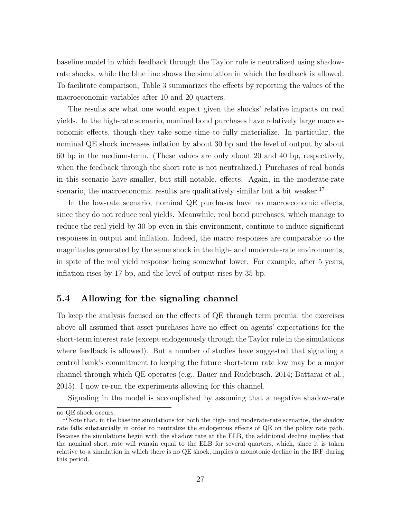baseline model in which feedback through the Taylor rule is neutralized using shadowrate shocks, while the blue line shows the simulation in which the feedback is allowed. To facilitate comparison, Table 3 summarizes the effects by reporting the values of the macroeconomic variables after 10 and 20 quarters.

The results are what one would expect given the shocks' relative impacts on real yields. In the high-rate scenario, nominal bond purchases have relatively large macroeconomic effects, though they take some time to fully materialize. In particular, the nominal QE shock increases inflation by about 30 bp and the level of output by about 60 bp in the medium-term. (These values are only about 20 and 40 bp, respectively, when the feedback through the short rate is not neutralized.) Purchases of real bonds in this scenario have smaller, but still notable, effects. Again, in the moderate-rate scenario, the macroeconomic results are qualitatively similar but a bit weaker.<sup>17</sup>

In the low-rate scenario, nominal QE purchases have no macroeconomic effects, since they do not reduce real yields. Meanwhile, real bond purchases, which manage to reduce the real yield by 30 bp even in this environment, continue to induce significant responses in output and inflation. Indeed, the macro responses are comparable to the magnitudes generated by the same shock in the high- and moderate-rate environments, in spite of the real yield response being somewhat lower. For example, after 5 years, inflation rises by 17 bp, and the level of output rises by 35 bp.

### 5.4 Allowing for the signaling channel

To keep the analysis focused on the effects of QE through term premia, the exercises above all assumed that asset purchases have no effect on agents' expectations for the short-term interest rate (except endogenously through the Taylor rule in the simulations where feedback is allowed). But a number of studies have suggested that signaling a central bank's commitment to keeping the future short-term rate low may be a major channel through which QE operates (e.g., Bauer and Rudebusch, 2014; Battarai et al., 2015). I now re-run the experiments allowing for this channel.

Signaling in the model is accomplished by assuming that a negative shadow-rate

no QE shock occurs.

<sup>&</sup>lt;sup>17</sup>Note that, in the baseline simulations for both the high- and moderate-rate scenarios, the shadow rate falls substantially in order to neutralize the endogenous effects of QE on the policy rate path. Because the simulations begin with the shadow rate at the ELB, the additional decline implies that the nominal short rate will remain equal to the ELB for several quarters, which, since it is taken relative to a simulation in which there is no QE shock, implies a monotonic decline in the IRF during this period.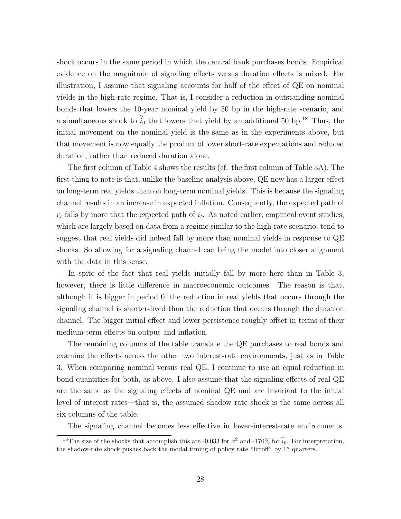shock occurs in the same period in which the central bank purchases bonds. Empirical evidence on the magnitude of signaling effects versus duration effects is mixed. For illustration, I assume that signaling accounts for half of the effect of QE on nominal yields in the high-rate regime. That is, I consider a reduction in outstanding nominal bonds that lowers the 10-year nominal yield by 50 bp in the high-rate scenario, and a simultaneous shock to  $\hat{i}_0$  that lowers that yield by an additional 50 bp.<sup>18</sup> Thus, the initial movement on the nominal yield is the same as in the experiments above, but that movement is now equally the product of lower short-rate expectations and reduced duration, rather than reduced duration alone.

The first column of Table 4 shows the results (cf. the first column of Table 3A). The first thing to note is that, unlike the baseline analysis above, QE now has a larger effect on long-term real yields than on long-term nominal yields. This is because the signaling channel results in an increase in expected inflation. Consequently, the expected path of  $r_t$  falls by more that the expected path of  $i_t$ . As noted earlier, empirical event studies, which are largely based on data from a regime similar to the high-rate scenario, tend to suggest that real yields did indeed fall by more than nominal yields in response to QE shocks. So allowing for a signaling channel can bring the model into closer alignment with the data in this sense.

In spite of the fact that real yields initially fall by more here than in Table 3, however, there is little difference in macroeconomic outcomes. The reason is that, although it is bigger in period 0, the reduction in real yields that occurs through the signaling channel is shorter-lived than the reduction that occurs through the duration channel. The bigger initial effect and lower persistence roughly offset in terms of their medium-term effects on output and inflation.

The remaining columns of the table translate the QE purchases to real bonds and examine the effects across the other two interest-rate environments, just as in Table 3. When comparing nominal versus real QE, I continue to use an equal reduction in bond quantities for both, as above. I also assume that the signaling effects of real QE are the same as the signaling effects of nominal QE and are invariant to the initial level of interest rates—that is, the assumed shadow rate shock is the same across all six columns of the table.

The signaling channel becomes less effective in lower-interest-rate environments.

<sup>&</sup>lt;sup>18</sup>The size of the shocks that accomplish this are -0.033 for  $x^{\$}$  and -170% for  $\hat{i}_0$ . For interpretation, the shadow-rate shock pushes back the modal timing of policy rate "liftoff" by 15 quarters.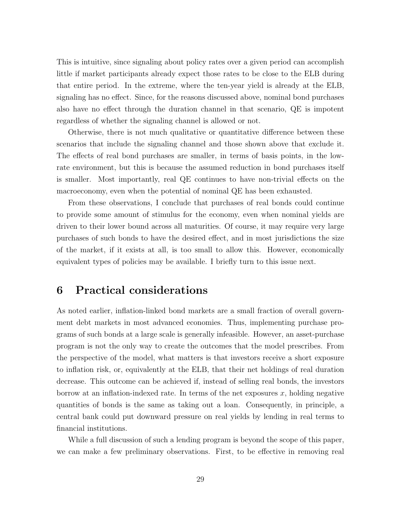This is intuitive, since signaling about policy rates over a given period can accomplish little if market participants already expect those rates to be close to the ELB during that entire period. In the extreme, where the ten-year yield is already at the ELB, signaling has no effect. Since, for the reasons discussed above, nominal bond purchases also have no effect through the duration channel in that scenario, QE is impotent regardless of whether the signaling channel is allowed or not.

Otherwise, there is not much qualitative or quantitative difference between these scenarios that include the signaling channel and those shown above that exclude it. The effects of real bond purchases are smaller, in terms of basis points, in the lowrate environment, but this is because the assumed reduction in bond purchases itself is smaller. Most importantly, real QE continues to have non-trivial effects on the macroeconomy, even when the potential of nominal QE has been exhausted.

From these observations, I conclude that purchases of real bonds could continue to provide some amount of stimulus for the economy, even when nominal yields are driven to their lower bound across all maturities. Of course, it may require very large purchases of such bonds to have the desired effect, and in most jurisdictions the size of the market, if it exists at all, is too small to allow this. However, economically equivalent types of policies may be available. I briefly turn to this issue next.

# 6 Practical considerations

As noted earlier, inflation-linked bond markets are a small fraction of overall government debt markets in most advanced economies. Thus, implementing purchase programs of such bonds at a large scale is generally infeasible. However, an asset-purchase program is not the only way to create the outcomes that the model prescribes. From the perspective of the model, what matters is that investors receive a short exposure to inflation risk, or, equivalently at the ELB, that their net holdings of real duration decrease. This outcome can be achieved if, instead of selling real bonds, the investors borrow at an inflation-indexed rate. In terms of the net exposures  $x$ , holding negative quantities of bonds is the same as taking out a loan. Consequently, in principle, a central bank could put downward pressure on real yields by lending in real terms to financial institutions.

While a full discussion of such a lending program is beyond the scope of this paper, we can make a few preliminary observations. First, to be effective in removing real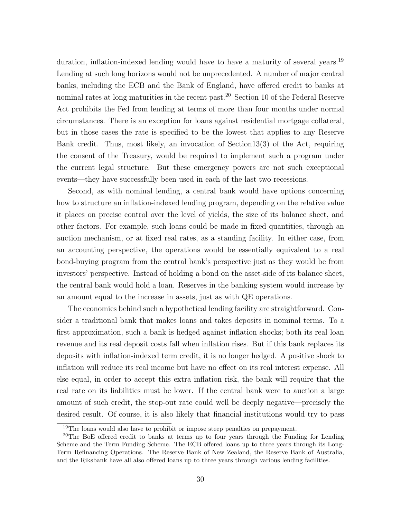duration, inflation-indexed lending would have to have a maturity of several years.<sup>19</sup> Lending at such long horizons would not be unprecedented. A number of major central banks, including the ECB and the Bank of England, have offered credit to banks at nominal rates at long maturities in the recent past.<sup>20</sup> Section 10 of the Federal Reserve Act prohibits the Fed from lending at terms of more than four months under normal circumstances. There is an exception for loans against residential mortgage collateral, but in those cases the rate is specified to be the lowest that applies to any Reserve Bank credit. Thus, most likely, an invocation of Section13(3) of the Act, requiring the consent of the Treasury, would be required to implement such a program under the current legal structure. But these emergency powers are not such exceptional events—they have successfully been used in each of the last two recessions.

Second, as with nominal lending, a central bank would have options concerning how to structure an inflation-indexed lending program, depending on the relative value it places on precise control over the level of yields, the size of its balance sheet, and other factors. For example, such loans could be made in fixed quantities, through an auction mechanism, or at fixed real rates, as a standing facility. In either case, from an accounting perspective, the operations would be essentially equivalent to a real bond-buying program from the central bank's perspective just as they would be from investors' perspective. Instead of holding a bond on the asset-side of its balance sheet, the central bank would hold a loan. Reserves in the banking system would increase by an amount equal to the increase in assets, just as with QE operations.

The economics behind such a hypothetical lending facility are straightforward. Consider a traditional bank that makes loans and takes deposits in nominal terms. To a first approximation, such a bank is hedged against inflation shocks; both its real loan revenue and its real deposit costs fall when inflation rises. But if this bank replaces its deposits with inflation-indexed term credit, it is no longer hedged. A positive shock to inflation will reduce its real income but have no effect on its real interest expense. All else equal, in order to accept this extra inflation risk, the bank will require that the real rate on its liabilities must be lower. If the central bank were to auction a large amount of such credit, the stop-out rate could well be deeply negative—precisely the desired result. Of course, it is also likely that financial institutions would try to pass

 $19$ The loans would also have to prohibit or impose steep penalties on prepayment.

<sup>&</sup>lt;sup>20</sup>The BoE offered credit to banks at terms up to four years through the Funding for Lending Scheme and the Term Funding Scheme. The ECB offered loans up to three years through its Long-Term Refinancing Operations. The Reserve Bank of New Zealand, the Reserve Bank of Australia, and the Riksbank have all also offered loans up to three years through various lending facilities.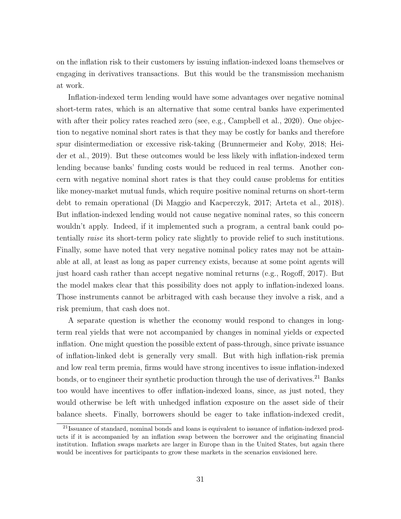on the inflation risk to their customers by issuing inflation-indexed loans themselves or engaging in derivatives transactions. But this would be the transmission mechanism at work.

Inflation-indexed term lending would have some advantages over negative nominal short-term rates, which is an alternative that some central banks have experimented with after their policy rates reached zero (see, e.g., Campbell et al., 2020). One objection to negative nominal short rates is that they may be costly for banks and therefore spur disintermediation or excessive risk-taking (Brunnermeier and Koby, 2018; Heider et al., 2019). But these outcomes would be less likely with inflation-indexed term lending because banks' funding costs would be reduced in real terms. Another concern with negative nominal short rates is that they could cause problems for entities like money-market mutual funds, which require positive nominal returns on short-term debt to remain operational (Di Maggio and Kacperczyk, 2017; Arteta et al., 2018). But inflation-indexed lending would not cause negative nominal rates, so this concern wouldn't apply. Indeed, if it implemented such a program, a central bank could potentially raise its short-term policy rate slightly to provide relief to such institutions. Finally, some have noted that very negative nominal policy rates may not be attainable at all, at least as long as paper currency exists, because at some point agents will just hoard cash rather than accept negative nominal returns (e.g., Rogoff, 2017). But the model makes clear that this possibility does not apply to inflation-indexed loans. Those instruments cannot be arbitraged with cash because they involve a risk, and a risk premium, that cash does not.

A separate question is whether the economy would respond to changes in longterm real yields that were not accompanied by changes in nominal yields or expected inflation. One might question the possible extent of pass-through, since private issuance of inflation-linked debt is generally very small. But with high inflation-risk premia and low real term premia, firms would have strong incentives to issue inflation-indexed bonds, or to engineer their synthetic production through the use of derivatives.<sup>21</sup> Banks too would have incentives to offer inflation-indexed loans, since, as just noted, they would otherwise be left with unhedged inflation exposure on the asset side of their balance sheets. Finally, borrowers should be eager to take inflation-indexed credit,

<sup>&</sup>lt;sup>21</sup>Issuance of standard, nominal bonds and loans is equivalent to issuance of inflation-indexed products if it is accompanied by an inflation swap between the borrower and the originating financial institution. Inflation swaps markets are larger in Europe than in the United States, but again there would be incentives for participants to grow these markets in the scenarios envisioned here.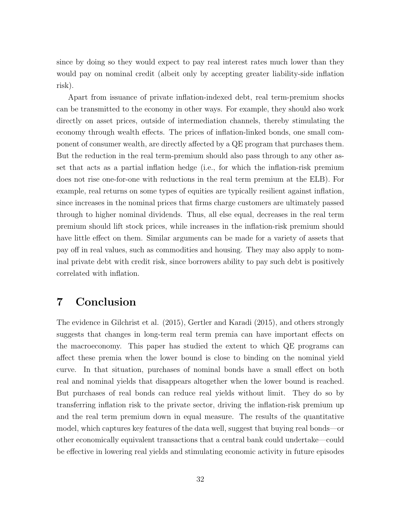since by doing so they would expect to pay real interest rates much lower than they would pay on nominal credit (albeit only by accepting greater liability-side inflation risk).

Apart from issuance of private inflation-indexed debt, real term-premium shocks can be transmitted to the economy in other ways. For example, they should also work directly on asset prices, outside of intermediation channels, thereby stimulating the economy through wealth effects. The prices of inflation-linked bonds, one small component of consumer wealth, are directly affected by a QE program that purchases them. But the reduction in the real term-premium should also pass through to any other asset that acts as a partial inflation hedge (i.e., for which the inflation-risk premium does not rise one-for-one with reductions in the real term premium at the ELB). For example, real returns on some types of equities are typically resilient against inflation, since increases in the nominal prices that firms charge customers are ultimately passed through to higher nominal dividends. Thus, all else equal, decreases in the real term premium should lift stock prices, while increases in the inflation-risk premium should have little effect on them. Similar arguments can be made for a variety of assets that pay off in real values, such as commodities and housing. They may also apply to nominal private debt with credit risk, since borrowers ability to pay such debt is positively correlated with inflation.

# 7 Conclusion

The evidence in Gilchrist et al. (2015), Gertler and Karadi (2015), and others strongly suggests that changes in long-term real term premia can have important effects on the macroeconomy. This paper has studied the extent to which QE programs can affect these premia when the lower bound is close to binding on the nominal yield curve. In that situation, purchases of nominal bonds have a small effect on both real and nominal yields that disappears altogether when the lower bound is reached. But purchases of real bonds can reduce real yields without limit. They do so by transferring inflation risk to the private sector, driving the inflation-risk premium up and the real term premium down in equal measure. The results of the quantitative model, which captures key features of the data well, suggest that buying real bonds—or other economically equivalent transactions that a central bank could undertake—could be effective in lowering real yields and stimulating economic activity in future episodes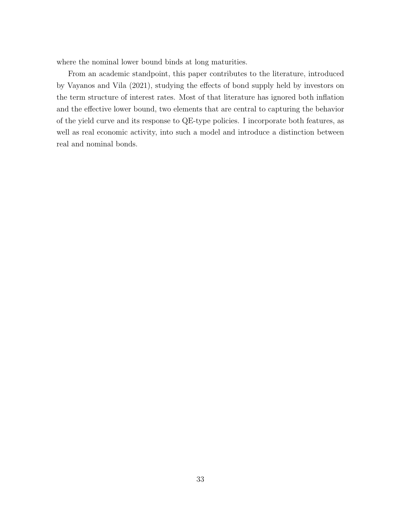where the nominal lower bound binds at long maturities.

From an academic standpoint, this paper contributes to the literature, introduced by Vayanos and Vila (2021), studying the effects of bond supply held by investors on the term structure of interest rates. Most of that literature has ignored both inflation and the effective lower bound, two elements that are central to capturing the behavior of the yield curve and its response to QE-type policies. I incorporate both features, as well as real economic activity, into such a model and introduce a distinction between real and nominal bonds.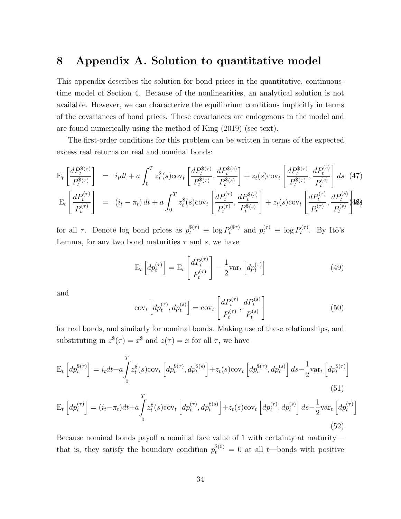# 8 Appendix A. Solution to quantitative model

This appendix describes the solution for bond prices in the quantitative, continuoustime model of Section 4. Because of the nonlinearities, an analytical solution is not available. However, we can characterize the equilibrium conditions implicitly in terms of the covariances of bond prices. These covariances are endogenous in the model and are found numerically using the method of King (2019) (see text).

The first-order conditions for this problem can be written in terms of the expected excess real returns on real and nominal bonds:

$$
E_{t}\left[\frac{dP_{t}^{s(\tau)}}{P_{t}^{s(\tau)}}\right] = i_{t}dt + a\int_{0}^{T} z_{t}^{s}(s) \text{cov}_{t}\left[\frac{dP_{t}^{s(\tau)}}{P_{t}^{s(\tau)}}, \frac{dP_{t}^{s(s)}}{P_{t}^{s(s)}}\right] + z_{t}(s) \text{cov}_{t}\left[\frac{dP_{t}^{s(\tau)}}{P_{t}^{s(\tau)}}, \frac{dP_{t}^{s(s)}}{P_{t}^{s(s)}}\right] ds
$$
(47)  
\n
$$
E_{t}\left[\frac{dP_{t}^{(\tau)}}{P_{t}^{(\tau)}}\right] = (i_{t} - \pi_{t}) dt + a\int_{0}^{T} z_{t}^{s}(s) \text{cov}_{t}\left[\frac{dP_{t}^{(\tau)}}{P_{t}^{(\tau)}}, \frac{dP_{t}^{s(s)}}{P_{t}^{s(s)}}\right] + z_{t}(s) \text{cov}_{t}\left[\frac{dP_{t}^{(\tau)}}{P_{t}^{(\tau)}}, \frac{dP_{t}^{(s)}}{P_{t}^{(\tau)}}\right] ds
$$

for all  $\tau$ . Denote log bond prices as  $p_t^{\$(\tau)} \equiv \log P_t^{(\$ \tau)}$  and  $p_t^{(\tau)} \equiv \log P_t^{(\tau)}$  $t^{(\tau)}$ . By Itô's Lemma, for any two bond maturities  $\tau$  and s, we have

$$
\mathbf{E}_{t}\left[dp_{t}^{(\tau)}\right] = \mathbf{E}_{t}\left[\frac{dP_{t}^{(\tau)}}{P_{t}^{(\tau)}}\right] - \frac{1}{2}\text{var}_{t}\left[dp_{t}^{(\tau)}\right]
$$
\n(49)

and

$$
cov_t \left[ dp_t^{(\tau)}, dp_t^{(s)} \right] = cov_t \left[ \frac{dP_t^{(\tau)}}{P_t^{(\tau)}}, \frac{dP_t^{(s)}}{P_t^{(s)}} \right]
$$
(50)

for real bonds, and similarly for nominal bonds. Making use of these relationships, and substituting in  $z^{*}(\tau) = x^{*}$  and  $z(\tau) = x$  for all  $\tau$ , we have

$$
E_t\left[dp_t^{\$(\tau)}\right] = i_t dt + a \int_0^T z_t^{\$(s)cov_t\left[dp_t^{\$(\tau)}, dp_t^{\$(s)}\right] + z_t(s) cov_t\left[dp_t^{\$(\tau)}, dp_t^{(s)}\right] ds - \frac{1}{2}var_t\left[dp_t^{\$(\tau)}\right] \tag{51}
$$

$$
E_t\left[dp_t^{(\tau)}\right] = (i_t - \pi_t)dt + a \int_0^T z_t^*(s) \text{cov}_t\left[dp_t^{(\tau)}, dp_t^{*(s)}\right] + z_t(s) \text{cov}_t\left[dp_t^{(\tau)}, dp_t^{(s)}\right] ds - \frac{1}{2} \text{var}_t\left[dp_t^{(\tau)}\right] \tag{52}
$$

Because nominal bonds payoff a nominal face value of 1 with certainty at maturity that is, they satisfy the boundary condition  $p_t^{\$(0)} = 0$  at all t—bonds with positive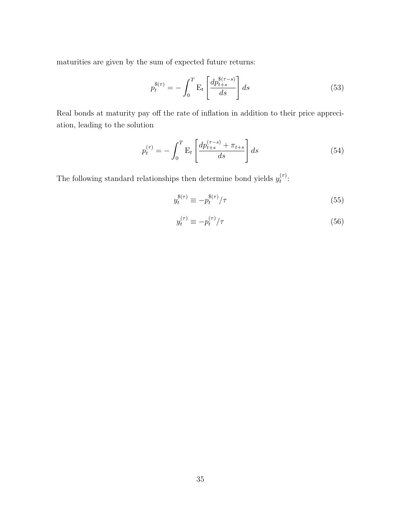maturities are given by the sum of expected future returns:

$$
p_t^{\mathcal{S}(\tau)} = -\int_0^T \mathbf{E}_t \left[ \frac{dp_{t+s}^{\mathcal{S}(\tau-s)}}{ds} \right] ds \tag{53}
$$

Real bonds at maturity pay off the rate of inflation in addition to their price appreciation, leading to the solution

$$
p_t^{(\tau)} = -\int_0^T \mathbf{E}_t \left[ \frac{dp_{t+s}^{(\tau-s)} + \pi_{t+s}}{ds} \right] ds \tag{54}
$$

The following standard relationships then determine bond yields  $y_t^{(\tau)}$  $\overset{(\tau)}{t}$ :

$$
y_t^{\$(\tau)} \equiv -p_t^{\$(\tau)}/\tau \tag{55}
$$

$$
y_t^{(\tau)} \equiv -p_t^{(\tau)} / \tau \tag{56}
$$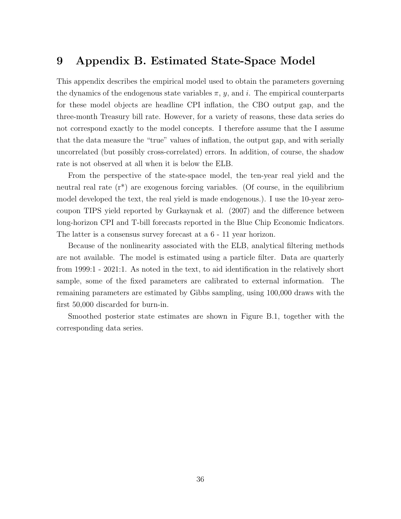# 9 Appendix B. Estimated State-Space Model

This appendix describes the empirical model used to obtain the parameters governing the dynamics of the endogenous state variables  $\pi$ , y, and i. The empirical counterparts for these model objects are headline CPI inflation, the CBO output gap, and the three-month Treasury bill rate. However, for a variety of reasons, these data series do not correspond exactly to the model concepts. I therefore assume that the I assume that the data measure the "true" values of inflation, the output gap, and with serially uncorrelated (but possibly cross-correlated) errors. In addition, of course, the shadow rate is not observed at all when it is below the ELB.

From the perspective of the state-space model, the ten-year real yield and the neutral real rate (r\*) are exogenous forcing variables. (Of course, in the equilibrium model developed the text, the real yield is made endogenous.). I use the 10-year zerocoupon TIPS yield reported by Gurkaynak et al. (2007) and the difference between long-horizon CPI and T-bill forecasts reported in the Blue Chip Economic Indicators. The latter is a consensus survey forecast at a 6 - 11 year horizon.

Because of the nonlinearity associated with the ELB, analytical filtering methods are not available. The model is estimated using a particle filter. Data are quarterly from 1999:1 - 2021:1. As noted in the text, to aid identification in the relatively short sample, some of the fixed parameters are calibrated to external information. The remaining parameters are estimated by Gibbs sampling, using 100,000 draws with the first 50,000 discarded for burn-in.

Smoothed posterior state estimates are shown in Figure B.1, together with the corresponding data series.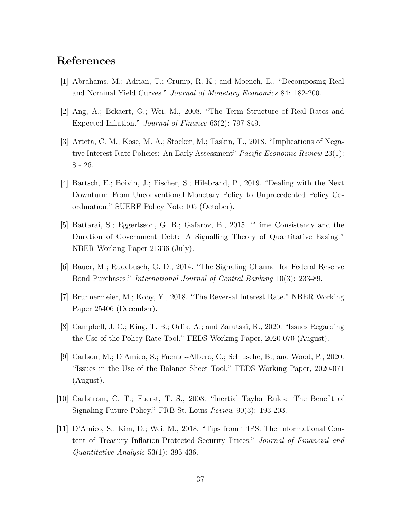# References

- [1] Abrahams, M.; Adrian, T.; Crump, R. K.; and Moench, E., "Decomposing Real and Nominal Yield Curves." Journal of Monetary Economics 84: 182-200.
- [2] Ang, A.; Bekaert, G.; Wei, M., 2008. "The Term Structure of Real Rates and Expected Inflation." Journal of Finance 63(2): 797-849.
- [3] Arteta, C. M.; Kose, M. A.; Stocker, M.; Taskin, T., 2018. "Implications of Negative Interest-Rate Policies: An Early Assessment" Pacific Economic Review 23(1): 8 - 26.
- [4] Bartsch, E.; Boivin, J.; Fischer, S.; Hilebrand, P., 2019. "Dealing with the Next Downturn: From Unconventional Monetary Policy to Unprecedented Policy Coordination." SUERF Policy Note 105 (October).
- [5] Battarai, S.; Eggertsson, G. B.; Gafarov, B., 2015. "Time Consistency and the Duration of Government Debt: A Signalling Theory of Quantitative Easing." NBER Working Paper 21336 (July).
- [6] Bauer, M.; Rudebusch, G. D., 2014. "The Signaling Channel for Federal Reserve Bond Purchases." International Journal of Central Banking 10(3): 233-89.
- [7] Brunnermeier, M.; Koby, Y., 2018. "The Reversal Interest Rate." NBER Working Paper 25406 (December).
- [8] Campbell, J. C.; King, T. B.; Orlik, A.; and Zarutski, R., 2020. "Issues Regarding the Use of the Policy Rate Tool." FEDS Working Paper, 2020-070 (August).
- [9] Carlson, M.; D'Amico, S.; Fuentes-Albero, C.; Schlusche, B.; and Wood, P., 2020. "Issues in the Use of the Balance Sheet Tool." FEDS Working Paper, 2020-071 (August).
- [10] Carlstrom, C. T.; Fuerst, T. S., 2008. "Inertial Taylor Rules: The Benefit of Signaling Future Policy." FRB St. Louis Review 90(3): 193-203.
- [11] D'Amico, S.; Kim, D.; Wei, M., 2018. "Tips from TIPS: The Informational Content of Treasury Inflation-Protected Security Prices." Journal of Financial and Quantitative Analysis 53(1): 395-436.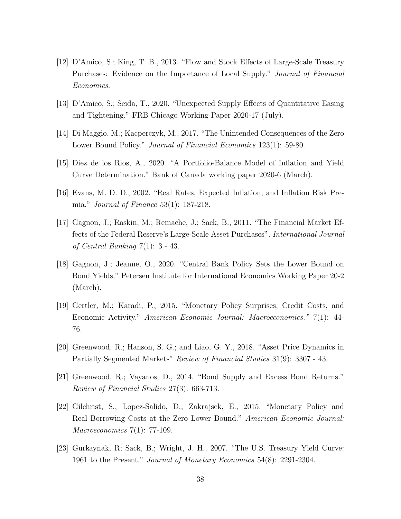- [12] D'Amico, S.; King, T. B., 2013. "Flow and Stock Effects of Large-Scale Treasury Purchases: Evidence on the Importance of Local Supply." Journal of Financial Economics.
- [13] D'Amico, S.; Seida, T., 2020. "Unexpected Supply Effects of Quantitative Easing and Tightening." FRB Chicago Working Paper 2020-17 (July).
- [14] Di Maggio, M.; Kacperczyk, M., 2017. "The Unintended Consequences of the Zero Lower Bound Policy." *Journal of Financial Economics* 123(1): 59-80.
- [15] Diez de los Rios, A., 2020. "A Portfolio-Balance Model of Inflation and Yield Curve Determination." Bank of Canada working paper 2020-6 (March).
- [16] Evans, M. D. D., 2002. "Real Rates, Expected Inflation, and Inflation Risk Premia." Journal of Finance 53(1): 187-218.
- [17] Gagnon, J.; Raskin, M.; Remache, J.; Sack, B., 2011. "The Financial Market Effects of the Federal Reserve's Large-Scale Asset Purchases". International Journal of Central Banking 7(1): 3 - 43.
- [18] Gagnon, J.; Jeanne, O., 2020. "Central Bank Policy Sets the Lower Bound on Bond Yields." Petersen Institute for International Economics Working Paper 20-2 (March).
- [19] Gertler, M.; Karadi, P., 2015. "Monetary Policy Surprises, Credit Costs, and Economic Activity." American Economic Journal: Macroeconomics." 7(1): 44- 76.
- [20] Greenwood, R.; Hanson, S. G.; and Liao, G. Y., 2018. "Asset Price Dynamics in Partially Segmented Markets" Review of Financial Studies 31(9): 3307 - 43.
- [21] Greenwood, R.; Vayanos, D., 2014. "Bond Supply and Excess Bond Returns." Review of Financial Studies 27(3): 663-713.
- [22] Gilchrist, S.; Lopez-Salido, D.; Zakrajsek, E., 2015. "Monetary Policy and Real Borrowing Costs at the Zero Lower Bound." American Economic Journal: Macroeconomics  $7(1)$ : 77-109.
- [23] Gurkaynak, R; Sack, B.; Wright, J. H., 2007. "The U.S. Treasury Yield Curve: 1961 to the Present." Journal of Monetary Economics 54(8): 2291-2304.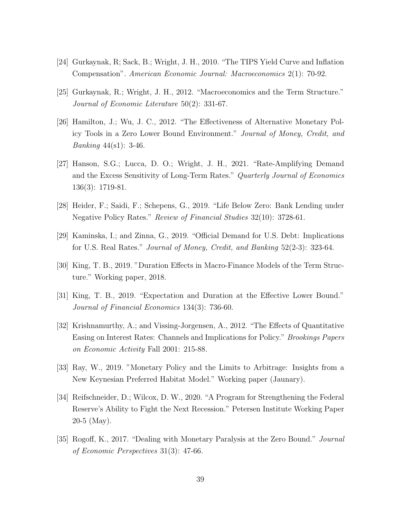- [24] Gurkaynak, R; Sack, B.; Wright, J. H., 2010. "The TIPS Yield Curve and Inflation Compensation". American Economic Journal: Macroeconomics 2(1): 70-92.
- [25] Gurkaynak, R.; Wright, J. H., 2012. "Macroeconomics and the Term Structure." Journal of Economic Literature 50(2): 331-67.
- [26] Hamilton, J.; Wu, J. C., 2012. "The Effectiveness of Alternative Monetary Policy Tools in a Zero Lower Bound Environment." Journal of Money, Credit, and Banking 44(s1): 3-46.
- [27] Hanson, S.G.; Lucca, D. O.; Wright, J. H., 2021. "Rate-Amplifying Demand and the Excess Sensitivity of Long-Term Rates." Quarterly Journal of Economics 136(3): 1719-81.
- [28] Heider, F.; Saidi, F.; Schepens, G., 2019. "Life Below Zero: Bank Lending under Negative Policy Rates." Review of Financial Studies 32(10): 3728-61.
- [29] Kaminska, I.; and Zinna, G., 2019. "Official Demand for U.S. Debt: Implications for U.S. Real Rates." Journal of Money, Credit, and Banking 52(2-3): 323-64.
- [30] King, T. B., 2019. "Duration Effects in Macro-Finance Models of the Term Structure." Working paper, 2018.
- [31] King, T. B., 2019. "Expectation and Duration at the Effective Lower Bound." Journal of Financial Economics 134(3): 736-60.
- [32] Krishnamurthy, A.; and Vissing-Jorgensen, A., 2012. "The Effects of Quantitative Easing on Interest Rates: Channels and Implications for Policy." Brookings Papers on Economic Activity Fall 2001: 215-88.
- [33] Ray, W., 2019. "Monetary Policy and the Limits to Arbitrage: Insights from a New Keynesian Preferred Habitat Model." Working paper (Jaunary).
- [34] Reifschneider, D.; Wilcox, D. W., 2020. "A Program for Strengthening the Federal Reserve's Ability to Fight the Next Recession." Petersen Institute Working Paper 20-5 (May).
- [35] Rogoff, K., 2017. "Dealing with Monetary Paralysis at the Zero Bound." Journal of Economic Perspectives 31(3): 47-66.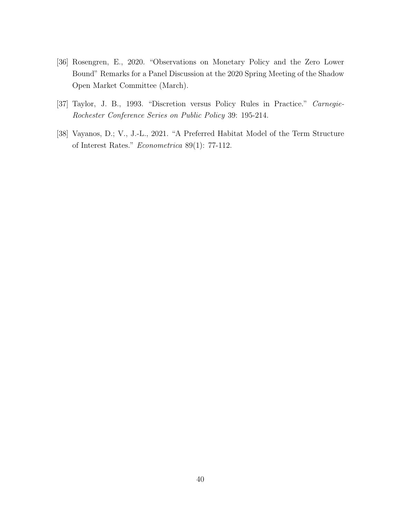- [36] Rosengren, E., 2020. "Observations on Monetary Policy and the Zero Lower Bound" Remarks for a Panel Discussion at the 2020 Spring Meeting of the Shadow Open Market Committee (March).
- [37] Taylor, J. B., 1993. "Discretion versus Policy Rules in Practice." Carnegie-Rochester Conference Series on Public Policy 39: 195-214.
- [38] Vayanos, D.; V., J.-L., 2021. "A Preferred Habitat Model of the Term Structure of Interest Rates." Econometrica 89(1): 77-112.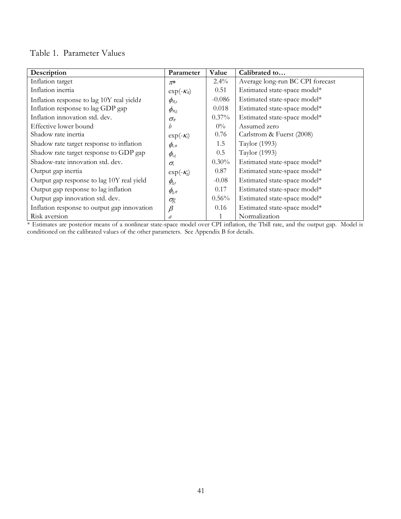### Table 1. Parameter Values

| Description                                  | Parameter                                                              | Value    | Calibrated to                    |
|----------------------------------------------|------------------------------------------------------------------------|----------|----------------------------------|
| Inflation target                             | $\pi^*$                                                                | $2.4\%$  | Average long-run BC CPI forecast |
| Inflation inertia                            | $\exp(-\mathcal{K}_\pi)$                                               | 0.51     | Estimated state-space model*     |
| Inflation response to lag 10Y real yield $t$ | $\phi_{\pi,y}$                                                         | $-0.086$ | Estimated state-space model*     |
| Inflation response to lag GDP gap            | $\phi_{\pi,g}$                                                         | 0.018    | Estimated state-space model*     |
| Inflation innovation std. dev.               | $\sigma_{\pi}$                                                         | 0.37%    | Estimated state-space model*     |
| Effective lower bound                        | h                                                                      | $0\%$    | Assumed zero                     |
| Shadow rate inertia                          | $\exp(-\mathcal{K}_i)$                                                 | 0.76     | Carlstrom & Fuerst (2008)        |
| Shadow rate target response to inflation     | $\phi_{i,\pi}$                                                         | 1.5      | Taylor (1993)                    |
| Shadow rate target response to GDP gap       | $\phi_{i,g}$                                                           | 0.5      | Taylor (1993)                    |
| Shadow-rate innovation std. dev.             | $\sigma_i$                                                             | $0.30\%$ | Estimated state-space model*     |
| Output gap inertia                           | $\exp(-\mathcal{K}_g)$                                                 | 0.87     | Estimated state-space model*     |
| Output gap response to lag 10Y real yield    | $\phi_{\scriptscriptstyle\mathcal{S}^{\scriptscriptstyle\mathcal{Y}}}$ | $-0.08$  | Estimated state-space model*     |
| Output gap response to lag inflation         | $\phi_{\!\scriptscriptstyle\mathcal{S}}\vphantom{.}\pi$                | 0.17     | Estimated state-space model*     |
| Output gap innovation std. dev.              | $\sigma$ g                                                             | $0.56\%$ | Estimated state-space model*     |
| Inflation response to output gap innovation  | $\beta$                                                                | 0.16     | Estimated state-space model*     |
| Risk aversion                                | a                                                                      |          | Normalization                    |

\* Estimates are posterior means of a nonlinear state-space model over CPI inflation, the Tbill rate, and the output gap. Model is conditioned on the calibrated values of the other parameters. See Appendix B for details.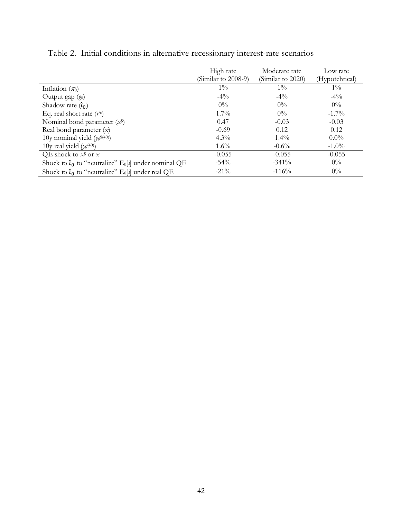|                                                                                        | High rate<br>(Similar to 2008-9) | Moderate rate<br>(Similar to 2020) | Low rate<br>(Hypotehtical) |
|----------------------------------------------------------------------------------------|----------------------------------|------------------------------------|----------------------------|
| Inflation $(\pi_0)$                                                                    | $1\%$                            | $1\%$                              | $1\%$                      |
| Output gap $(g_0)$                                                                     | $-4\%$                           | $-4\%$                             | $-4\%$                     |
| Shadow rate $(\hat{\iota}_0)$                                                          | $0\%$                            | $0\%$                              | $0\%$                      |
| Eq. real short rate $(r*)$                                                             | $1.7\%$                          | $0\%$                              | $-1.7\%$                   |
| Nominal bond parameter $(x^*)$                                                         | 0.47                             | $-0.03$                            | $-0.03$                    |
| Real bond parameter $(x)$                                                              | $-0.69$                          | 0.12                               | 0.12                       |
| 10y nominal yield $(y_0$ <sup>\$(40)</sup> )                                           | $4.3\%$                          | $1.4\%$                            | $0.0\%$                    |
| 10y real yield $(y_0^{(40)})$                                                          | $1.6\%$                          | $-0.6\%$                           | $-1.0\%$                   |
| QE shock to $x^s$ or x                                                                 | $-0.055$                         | $-0.055$                           | $-0.055$                   |
| Shock to $\hat{\imath}_0$ to "neutralize" E <sub>0</sub> [ $\imath$ ] under nominal QE | $-54\%$                          | $-341\%$                           | $0\%$                      |
| Shock to $\hat{\imath}_0$ to "neutralize" $E_0[i]$ under real QE                       | $-21\%$                          | $-116%$                            | $0\%$                      |

Table 2. Initial conditions in alternative recessionary interest-rate scenarios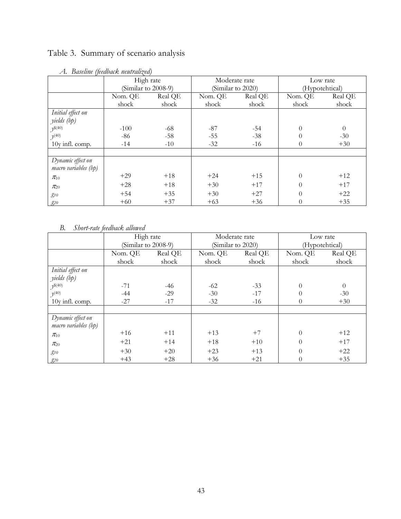# Table 3. Summary of scenario analysis

|                      | High rate              |         | Moderate rate     |         | Low rate       |          |  |
|----------------------|------------------------|---------|-------------------|---------|----------------|----------|--|
|                      | (Similar to $2008-9$ ) |         | (Similar to 2020) |         | (Hypotehtical) |          |  |
|                      | Nom. QE                | Real QE | Nom. QE           | Real QE | Nom. QE        | Real QE  |  |
|                      | shock                  | shock   | shock             | shock   | shock          | shock    |  |
| Initial effect on    |                        |         |                   |         |                |          |  |
| yields (bp)          |                        |         |                   |         |                |          |  |
| $y^{(40)}$           | $-100$                 | $-68$   | $-87$             | $-54$   | $\theta$       | $\theta$ |  |
| $\nu^{(40)}$         | $-86$                  | $-58$   | $-55$             | $-38$   | 0              | $-30$    |  |
| 10y infl. comp.      | $-14$                  | $-10$   | $-32$             | $-16$   | 0              | $+30$    |  |
|                      |                        |         |                   |         |                |          |  |
| Dynamic effect on    |                        |         |                   |         |                |          |  |
| macro variables (bp) |                        |         |                   |         |                |          |  |
| $\pi_{10}$           | $+29$                  | $+18$   | $+24$             | $+15$   | $\theta$       | $+12$    |  |
| $\pi_{20}$           | $+28$                  | $+18$   | $+30$             | $+17$   | $\Omega$       | $+17$    |  |
| $g_{10}$             | $+54$                  | $+35$   | $+30$             | $+27$   | $\Omega$       | $+22$    |  |
| $g_{20}$             | $+60$                  | $+37$   | $+63$             | $+36$   | $\theta$       | $+35$    |  |

### *A. Baseline (feedback neutralized)*

### *B. Short-rate feedback allowed*

|                                           | High rate<br>(Similar to $2008-9$ ) |         | Moderate rate     |         | Low rate       |          |  |
|-------------------------------------------|-------------------------------------|---------|-------------------|---------|----------------|----------|--|
|                                           |                                     |         | (Similar to 2020) |         | (Hypotehtical) |          |  |
|                                           | Nom. QE                             | Real QE | Nom. QE           | Real QE | Nom. QE        | Real QE  |  |
|                                           | shock                               | shock   | shock             | shock   | shock          | shock    |  |
| Initial effect on                         |                                     |         |                   |         |                |          |  |
| yields (bp)                               |                                     |         |                   |         |                |          |  |
| $y^{\$(40)}$                              | $-71$                               | $-46$   | $-62$             | $-33$   | $\theta$       | $\theta$ |  |
| $\nu^{(40)}$                              | $-44$                               | $-29$   | $-30$             | $-17$   | $\Omega$       | $-30$    |  |
| 10y infl. comp.                           | $-27$                               | $-17$   | $-32$             | $-16$   | $\theta$       | $+30$    |  |
|                                           |                                     |         |                   |         |                |          |  |
| Dynamic effect on<br>macro variables (bp) |                                     |         |                   |         |                |          |  |
| $\pi_{10}$                                | $+16$                               | $+11$   | $+13$             | $+7$    | $\theta$       | $+12$    |  |
| $\pi_{20}$                                | $+21$                               | $+14$   | $+18$             | $+10$   | $\theta$       | $+17$    |  |
| $g_{10}$                                  | $+30$                               | $+20$   | $+23$             | $+13$   | $\theta$       | $+22$    |  |
| $g_{20}$                                  | $+43$                               | $+28$   | $+36$             | $+21$   | $\theta$       | $+35$    |  |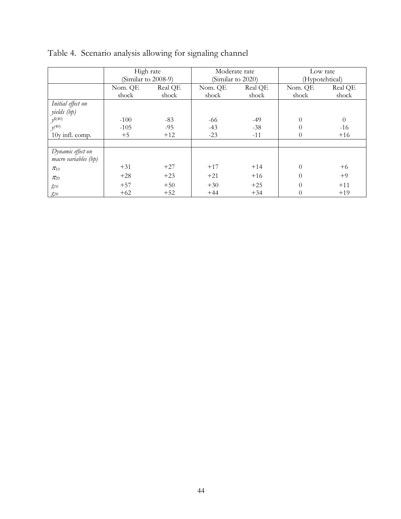|                      | High rate<br>(Similar to 2008-9) |         | Moderate rate<br>(Similar to 2020) |         | Low rate<br>(Hypotehtical) |                |
|----------------------|----------------------------------|---------|------------------------------------|---------|----------------------------|----------------|
|                      | Nom. QE                          | Real QE | Nom. QE                            | Real QE |                            | Real QE        |
|                      | shock                            | shock   | shock                              | shock   | shock                      | shock          |
| Initial effect on    |                                  |         |                                    |         |                            |                |
| yields (bp)          |                                  |         |                                    |         |                            |                |
| $y^{\$(40)}$         | $-100$                           | $-83$   | -66                                | $-49$   | $\Omega$                   | $\overline{0}$ |
| $\nu^{(40)}$         | $-105$                           | $-95$   | $-43$                              | $-38$   | 0                          | $-16$          |
| 10y infl. comp.      | $+5$                             | $+12$   | $-23$                              | $-11$   | $\Omega$                   | $+16$          |
|                      |                                  |         |                                    |         |                            |                |
| Dynamic effect on    |                                  |         |                                    |         |                            |                |
| macro variables (bp) |                                  |         |                                    |         |                            |                |
| $\pi_{10}$           | $+31$                            | $+27$   | $+17$                              | $+14$   | $\theta$                   | $+6$           |
| $\pi_{20}$           | $+28$                            | $+23$   | $+21$                              | $+16$   | $\Omega$                   | $+9$           |
| $g_{10}$             | $+57$                            | $+50$   | $+30$                              | $+25$   | $\Omega$                   | $+11$          |
| $g_{20}$             | $+62$                            | $+52$   | $+44$                              | $+34$   | 0                          | $+19$          |

| Table 4. Scenario analysis allowing for signaling channel |  |  |  |
|-----------------------------------------------------------|--|--|--|
|                                                           |  |  |  |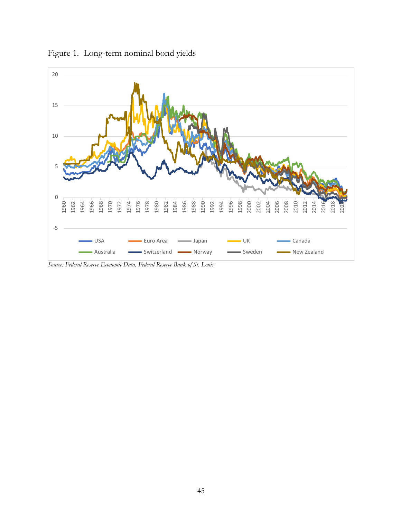

Figure 1. Long-term nominal bond yields

*Source: Federal Reserve Economic Data, Federal Reserve Bank of St. Louis*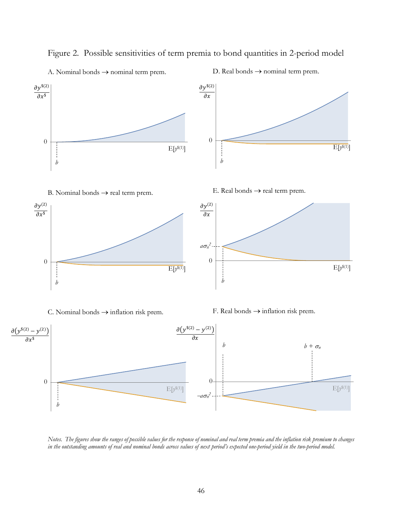

Figure 2. Possible sensitivities of term premia to bond quantities in 2-period model

A. Nominal bonds  $\rightarrow$  nominal term prem.

D. Real bonds  $\rightarrow$  nominal term prem.

*Notes. The figures show the ranges of possible values for the response of nominal and real term premia and the inflation risk premium to changes*  in the outstanding amounts of real and nominal bonds across values of next period's expected one-period yield in the two-period model.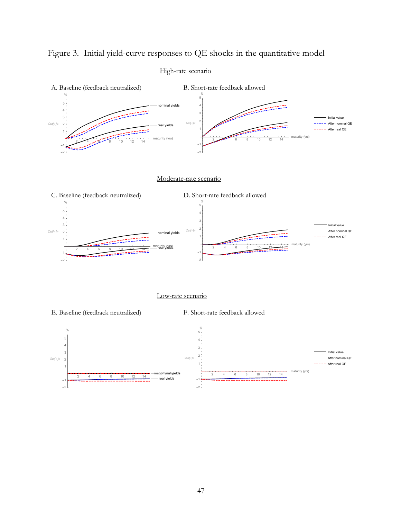

#### High-rate scenario



#### Low-rate scenario



47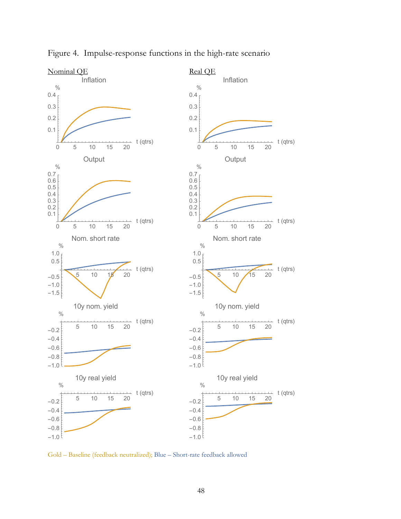

Figure 4. Impulse-response functions in the high-rate scenario

Gold – Baseline (feedback neutralized); Blue – Short-rate feedback allowed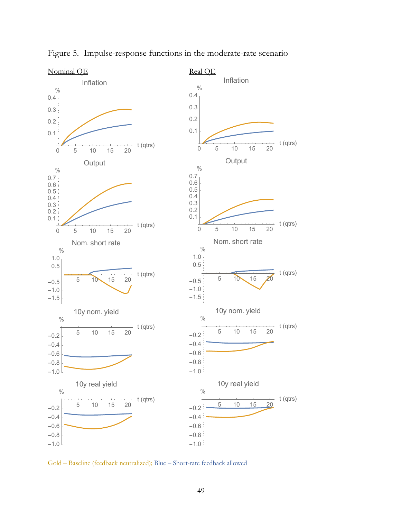

Figure 5. Impulse-response functions in the moderate-rate scenario

Gold – Baseline (feedback neutralized); Blue – Short-rate feedback allowed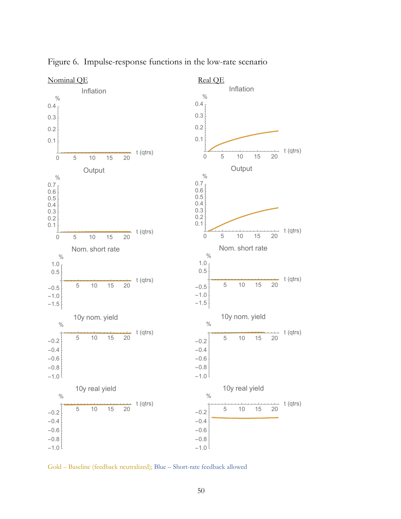

Figure 6. Impulse-response functions in the low-rate scenario

Gold – Baseline (feedback neutralized); Blue – Short-rate feedback allowed